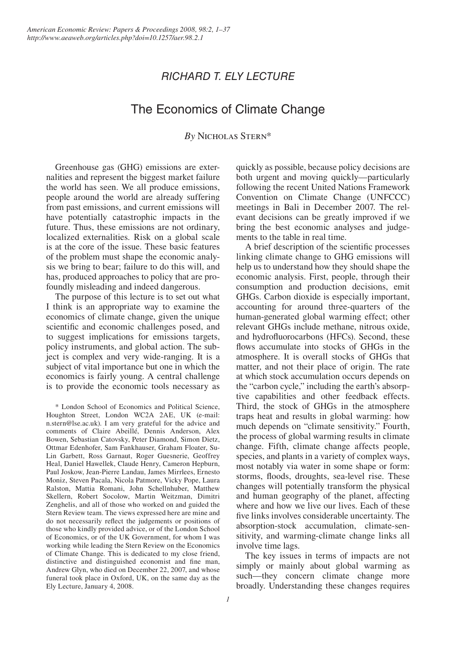# RICHARD T. ELY LECTURE

# The Economics of Climate Change

# *By* Nicholas Stern\*

Greenhouse gas (GHG) emissions are externalities and represent the biggest market failure the world has seen. We all produce emissions, people around the world are already suffering from past emissions, and current emissions will have potentially catastrophic impacts in the future. Thus, these emissions are not ordinary, localized externalities. Risk on a global scale is at the core of the issue. These basic features of the problem must shape the economic analysis we bring to bear; failure to do this will, and has, produced approaches to policy that are profoundly misleading and indeed dangerous.

The purpose of this lecture is to set out what I think is an appropriate way to examine the economics of climate change, given the unique scientific and economic challenges posed, and to suggest implications for emissions targets, policy instruments, and global action. The subject is complex and very wide-ranging. It is a subject of vital importance but one in which the economics is fairly young. A central challenge is to provide the economic tools necessary as

\* London School of Economics and Political Science, Houghton Street, London WC2A 2AE, UK (e-mail: n.stern@lse.ac.uk). I am very grateful for the advice and comments of Claire Abeillé, Dennis Anderson, Alex Bowen, Sebastian Catovsky, Peter Diamond, Simon Dietz, Ottmar Edenhofer, Sam Fankhauser, Graham Floater, Su-Lin Garbett, Ross Garnaut, Roger Guesnerie, Geoffrey Heal, Daniel Hawellek, Claude Henry, Cameron Hepburn, Paul Joskow, Jean-Pierre Landau, James Mirrlees, Ernesto Moniz, Steven Pacala, Nicola Patmore, Vicky Pope, Laura Ralston, Mattia Romani, John Schellnhuber, Matthew Skellern, Robert Socolow, Martin Weitzman, Dimitri Zenghelis, and all of those who worked on and guided the Stern Review team. The views expressed here are mine and do not necessarily reflect the judgements or positions of those who kindly provided advice, or of the London School of Economics, or of the UK Government, for whom I was working while leading the Stern Review on the Economics of Climate Change. This is dedicated to my close friend, distinctive and distinguished economist and fine man, Andrew Glyn, who died on December 22, 2007, and whose funeral took place in Oxford, UK, on the same day as the Ely Lecture, January 4, 2008.

quickly as possible, because policy decisions are both urgent and moving quickly—particularly following the recent United Nations Framework Convention on Climate Change (UNFCCC) meetings in Bali in December 2007. The relevant decisions can be greatly improved if we bring the best economic analyses and judgements to the table in real time.

A brief description of the scientific processes linking climate change to GHG emissions will help us to understand how they should shape the economic analysis. First, people, through their consumption and production decisions, emit GHGs. Carbon dioxide is especially important, accounting for around three-quarters of the human-generated global warming effect; other relevant GHGs include methane, nitrous oxide, and hydrofluorocarbons (HFCs). Second, these flows accumulate into stocks of GHGs in the atmosphere. It is overall stocks of GHGs that matter, and not their place of origin. The rate at which stock accumulation occurs depends on the "carbon cycle," including the earth's absorptive capabilities and other feedback effects. Third, the stock of GHGs in the atmosphere traps heat and results in global warming: how much depends on "climate sensitivity." Fourth, the process of global warming results in climate change. Fifth, climate change affects people, species, and plants in a variety of complex ways, most notably via water in some shape or form: storms, floods, droughts, sea-level rise. These changes will potentially transform the physical and human geography of the planet, affecting where and how we live our lives. Each of these five links involves considerable uncertainty. The absorption-stock accumulation, climate-sensitivity, and warming-climate change links all involve time lags.

The key issues in terms of impacts are not simply or mainly about global warming as such—they concern climate change more broadly. Understanding these changes requires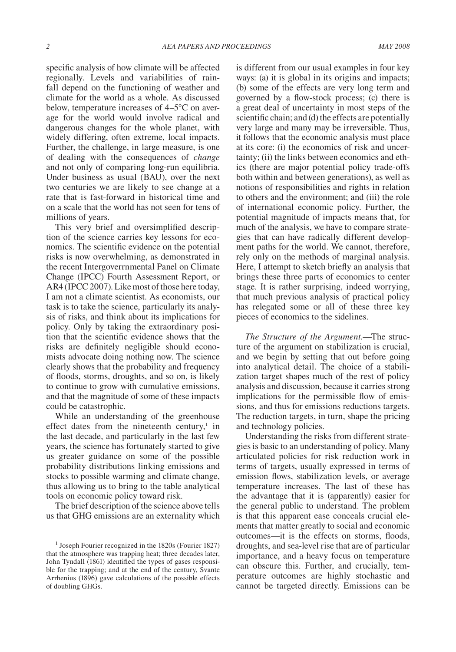specific analysis of how climate will be affected regionally. Levels and variabilities of rainfall depend on the functioning of weather and climate for the world as a whole. As discussed below, temperature increases of 4–5°C on average for the world would involve radical and dangerous changes for the whole planet, with widely differing, often extreme, local impacts. Further, the challenge, in large measure, is one of dealing with the consequences of *change* and not only of comparing long-run equilibria. Under business as usual (BAU), over the next two centuries we are likely to see change at a rate that is fast-forward in historical time and on a scale that the world has not seen for tens of millions of years.

This very brief and oversimplified description of the science carries key lessons for economics. The scientific evidence on the potential risks is now overwhelming, as demonstrated in the recent Intergoverrnmental Panel on Climate Change (IPCC) Fourth Assessment Report, or AR4 (IPCC 2007). Like most of those here today, I am not a climate scientist. As economists, our task is to take the science, particularly its analysis of risks, and think about its implications for policy. Only by taking the extraordinary position that the scientific evidence shows that the risks are definitely negligible should economists advocate doing nothing now. The science clearly shows that the probability and frequency of floods, storms, droughts, and so on, is likely to continue to grow with cumulative emissions, and that the magnitude of some of these impacts could be catastrophic.

While an understanding of the greenhouse effect dates from the nineteenth century,<sup>1</sup> in the last decade, and particularly in the last few years, the science has fortunately started to give us greater guidance on some of the possible probability distributions linking emissions and stocks to possible warming and climate change, thus allowing us to bring to the table analytical tools on economic policy toward risk.

The brief description of the science above tells us that GHG emissions are an externality which

is different from our usual examples in four key ways: (a) it is global in its origins and impacts; (b) some of the effects are very long term and governed by a flow-stock process; (c) there is a great deal of uncertainty in most steps of the scientific chain; and (d) the effects are potentially very large and many may be irreversible. Thus, it follows that the economic analysis must place at its core: (i) the economics of risk and uncertainty; (ii) the links between economics and ethics (there are major potential policy trade-offs both within and between generations), as well as notions of responsibilities and rights in relation to others and the environment; and (iii) the role of international economic policy. Further, the potential magnitude of impacts means that, for much of the analysis, we have to compare strategies that can have radically different development paths for the world. We cannot, therefore, rely only on the methods of marginal analysis. Here, I attempt to sketch briefly an analysis that brings these three parts of economics to center stage. It is rather surprising, indeed worrying, that much previous analysis of practical policy has relegated some or all of these three key pieces of economics to the sidelines.

*The Structure of the Argument*.—The structure of the argument on stabilization is crucial, and we begin by setting that out before going into analytical detail. The choice of a stabilization target shapes much of the rest of policy analysis and discussion, because it carries strong implications for the permissible flow of emissions, and thus for emissions reductions targets. The reduction targets, in turn, shape the pricing and technology policies.

Understanding the risks from different strategies is basic to an understanding of policy. Many articulated policies for risk reduction work in terms of targets, usually expressed in terms of emission flows, stabilization levels, or average temperature increases. The last of these has the advantage that it is (apparently) easier for the general public to understand. The problem is that this apparent ease conceals crucial elements that matter greatly to social and economic outcomes—it is the effects on storms, floods, droughts, and sea-level rise that are of particular importance, and a heavy focus on temperature can obscure this. Further, and crucially, temperature outcomes are highly stochastic and cannot be targeted directly. Emissions can be

<sup>&</sup>lt;sup>1</sup> Joseph Fourier recognized in the 1820s (Fourier 1827) that the atmosphere was trapping heat; three decades later, John Tyndall (1861) identified the types of gases responsible for the trapping; and at the end of the century, Svante Arrhenius (1896) gave calculations of the possible effects of doubling GHGs.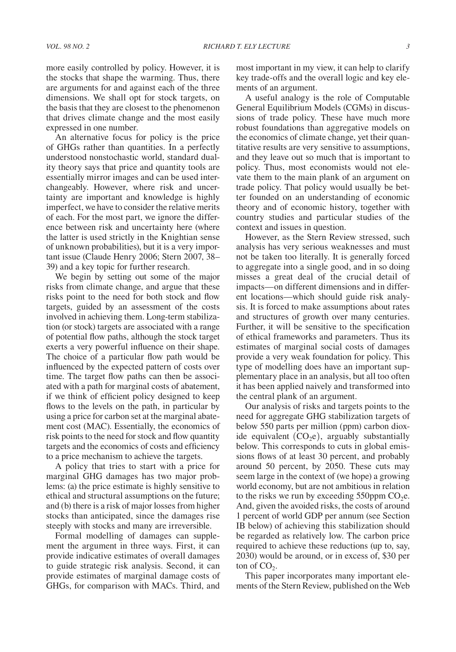more easily controlled by policy. However, it is the stocks that shape the warming. Thus, there are arguments for and against each of the three dimensions. We shall opt for stock targets, on the basis that they are closest to the phenomenon that drives climate change and the most easily expressed in one number.

An alternative focus for policy is the price of GHGs rather than quantities. In a perfectly understood nonstochastic world, standard duality theory says that price and quantity tools are essentially mirror images and can be used interchangeably. However, where risk and uncertainty are important and knowledge is highly imperfect, we have to consider the relative merits of each. For the most part, we ignore the difference between risk and uncertainty here (where the latter is used strictly in the Knightian sense of unknown probabilities), but it is a very important issue (Claude Henry 2006; Stern 2007, 38– 39) and a key topic for further research.

We begin by setting out some of the major risks from climate change, and argue that these risks point to the need for both stock and flow targets, guided by an assessment of the costs involved in achieving them. Long-term stabilization (or stock) targets are associated with a range of potential flow paths, although the stock target exerts a very powerful influence on their shape. The choice of a particular flow path would be influenced by the expected pattern of costs over time. The target flow paths can then be associated with a path for marginal costs of abatement, if we think of efficient policy designed to keep flows to the levels on the path, in particular by using a price for carbon set at the marginal abatement cost (MAC). Essentially, the economics of risk points to the need for stock and flow quantity targets and the economics of costs and efficiency to a price mechanism to achieve the targets.

A policy that tries to start with a price for marginal GHG damages has two major problems: (a) the price estimate is highly sensitive to ethical and structural assumptions on the future; and (b) there is a risk of major losses from higher stocks than anticipated, since the damages rise steeply with stocks and many are irreversible.

Formal modelling of damages can supplement the argument in three ways. First, it can provide indicative estimates of overall damages to guide strategic risk analysis. Second, it can provide estimates of marginal damage costs of GHGs, for comparison with MACs. Third, and

most important in my view, it can help to clarify key trade-offs and the overall logic and key elements of an argument.

A useful analogy is the role of Computable General Equilibrium Models (CGMs) in discussions of trade policy. These have much more robust foundations than aggregative models on the economics of climate change, yet their quantitative results are very sensitive to assumptions, and they leave out so much that is important to policy. Thus, most economists would not elevate them to the main plank of an argument on trade policy. That policy would usually be better founded on an understanding of economic theory and of economic history, together with country studies and particular studies of the context and issues in question.

However, as the Stern Review stressed, such analysis has very serious weaknesses and must not be taken too literally. It is generally forced to aggregate into a single good, and in so doing misses a great deal of the crucial detail of impacts—on different dimensions and in different locations—which should guide risk analysis. It is forced to make assumptions about rates and structures of growth over many centuries. Further, it will be sensitive to the specification of ethical frameworks and parameters. Thus its estimates of marginal social costs of damages provide a very weak foundation for policy. This type of modelling does have an important supplementary place in an analysis, but all too often it has been applied naively and transformed into the central plank of an argument.

Our analysis of risks and targets points to the need for aggregate GHG stabilization targets of below 550 parts per million (ppm) carbon dioxide equivalent  $(CO<sub>2</sub>e)$ , arguably substantially below. This corresponds to cuts in global emissions flows of at least 30 percent, and probably around 50 percent, by 2050. These cuts may seem large in the context of (we hope) a growing world economy, but are not ambitious in relation to the risks we run by exceeding 550ppm  $CO<sub>2</sub>e$ . And, given the avoided risks, the costs of around 1 percent of world GDP per annum (see Section IB below) of achieving this stabilization should be regarded as relatively low. The carbon price required to achieve these reductions (up to, say, 2030) would be around, or in excess of, \$30 per ton of  $CO<sub>2</sub>$ .

This paper incorporates many important elements of the Stern Review, published on the Web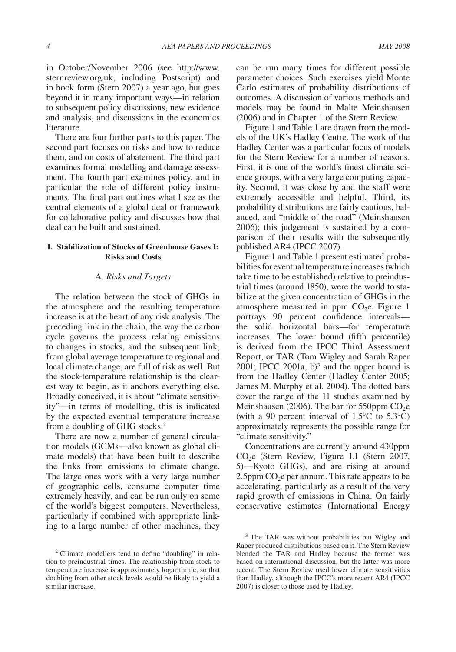in October/November 2006 (see http://www. sternreview.org.uk, including Postscript) and in book form (Stern 2007) a year ago, but goes beyond it in many important ways—in relation to subsequent policy discussions, new evidence and analysis, and discussions in the economics literature.

There are four further parts to this paper. The second part focuses on risks and how to reduce them, and on costs of abatement. The third part examines formal modelling and damage assessment. The fourth part examines policy, and in particular the role of different policy instruments. The final part outlines what I see as the central elements of a global deal or framework for collaborative policy and discusses how that deal can be built and sustained.

# **I. Stabilization of Stocks of Greenhouse Gases I: Risks and Costs**

## A. *Risks and Targets*

The relation between the stock of GHGs in the atmosphere and the resulting temperature increase is at the heart of any risk analysis. The preceding link in the chain, the way the carbon cycle governs the process relating emissions to changes in stocks, and the subsequent link, from global average temperature to regional and local climate change, are full of risk as well. But the stock-temperature relationship is the clearest way to begin, as it anchors everything else. Broadly conceived, it is about "climate sensitivity"—in terms of modelling, this is indicated by the expected eventual temperature increase from a doubling of GHG stocks.

There are now a number of general circulation models (GCMs—also known as global climate models) that have been built to describe the links from emissions to climate change. The large ones work with a very large number of geographic cells, consume computer time extremely heavily, and can be run only on some of the world's biggest computers. Nevertheless, particularly if combined with appropriate linking to a large number of other machines, they can be run many times for different possible parameter choices. Such exercises yield Monte Carlo estimates of probability distributions of outcomes. A discussion of various methods and models may be found in Malte Meinshausen (2006) and in Chapter 1 of the Stern Review.

Figure 1 and Table 1 are drawn from the models of the UK's Hadley Centre. The work of the Hadley Center was a particular focus of models for the Stern Review for a number of reasons. First, it is one of the world's finest climate science groups, with a very large computing capacity. Second, it was close by and the staff were extremely accessible and helpful. Third, its probability distributions are fairly cautious, balanced, and "middle of the road" (Meinshausen 2006); this judgement is sustained by a comparison of their results with the subsequently published AR4 (IPCC 2007).

Figure 1 and Table 1 present estimated probabilities for eventual temperature increases (which take time to be established) relative to preindustrial times (around 1850), were the world to stabilize at the given concentration of GHGs in the atmosphere measured in ppm  $CO<sub>2</sub>e$ . Figure 1 portrays 90 percent confidence intervals the solid horizontal bars—for temperature increases. The lower bound (fifth percentile) is derived from the IPCC Third Assessment Report, or TAR (Tom Wigley and Sarah Raper 2001; IPCC 2001a,  $b$ <sup>3</sup> and the upper bound is from the Hadley Center (Hadley Center 2005; James M. Murphy et al. 2004). The dotted bars cover the range of the 11 studies examined by Meinshausen (2006). The bar for 550ppm  $CO<sub>2</sub>e$ (with a 90 percent interval of  $1.5^{\circ}$ C to  $5.3^{\circ}$ C) approximately represents the possible range for "climate sensitivity."

Concentrations are currently around 430ppm CO2e (Stern Review, Figure 1.1 (Stern 2007, 5)—Kyoto GHGs), and are rising at around 2.5ppm  $CO<sub>2</sub>e$  per annum. This rate appears to be accelerating, particularly as a result of the very rapid growth of emissions in China. On fairly conservative estimates (International Energy

<sup>&</sup>lt;sup>2</sup> Climate modellers tend to define "doubling" in relation to preindustrial times. The relationship from stock to temperature increase is approximately logarithmic, so that doubling from other stock levels would be likely to yield a similar increase.

<sup>&</sup>lt;sup>3</sup> The TAR was without probabilities but Wigley and Raper produced distributions based on it. The Stern Review blended the TAR and Hadley because the former was based on international discussion, but the latter was more recent. The Stern Review used lower climate sensitivities than Hadley, although the IPCC's more recent AR4 (IPCC 2007) is closer to those used by Hadley.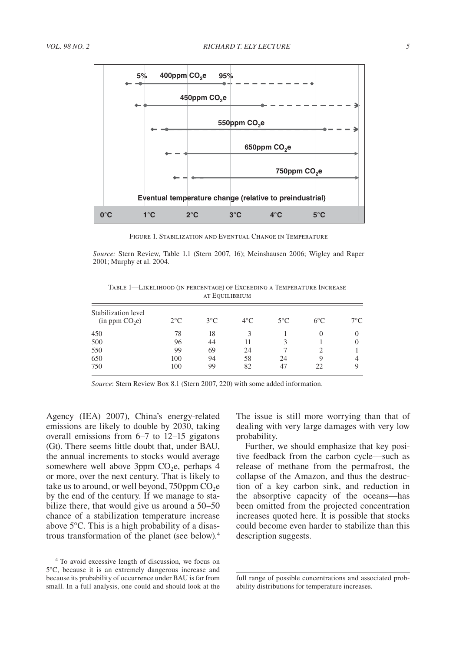

Figure 1. Stabilization and Eventual Change in Temperature

*Source:* Stern Review, Table 1.1 (Stern 2007, 16); Meinshausen 2006; Wigley and Raper 2001; Murphy et al. 2004.

Table 1—Likelihood (in percentage) of Exceeding a Temperature Increase at Equilibrium

| Stabilization level<br>(in ppm CO <sub>2</sub> e) | $2^{\circ}$ C | $3^{\circ}$ C | $4^{\circ}$ C | $5^{\circ}$ C | $6^{\circ}$ C | 7°C |
|---------------------------------------------------|---------------|---------------|---------------|---------------|---------------|-----|
| 450                                               | 78            | 18            |               |               |               |     |
| 500                                               | 96            | 44            |               |               |               |     |
| 550                                               | 99            | 69            | 24            |               |               |     |
| 650                                               | 100           | 94            | 58            | 24            |               |     |
| 750                                               | 100           | 99            | 82            | 47            | 22            |     |

*Source*: Stern Review Box 8.1 (Stern 2007, 220) with some added information.

Agency (IEA) 2007), China's energy-related emissions are likely to double by 2030, taking overall emissions from 6–7 to 12–15 gigatons (Gt). There seems little doubt that, under BAU, the annual increments to stocks would average somewhere well above 3ppm  $CO<sub>2</sub>e$ , perhaps 4 or more, over the next century. That is likely to take us to around, or well beyond,  $750$ ppm  $CO<sub>2</sub>e$ by the end of the century. If we manage to stabilize there, that would give us around a 50–50 chance of a stabilization temperature increase above 5°C. This is a high probability of a disastrous transformation of the planet (see below).

The issue is still more worrying than that of dealing with very large damages with very low probability.

Further, we should emphasize that key positive feedback from the carbon cycle—such as release of methane from the permafrost, the collapse of the Amazon, and thus the destruction of a key carbon sink, and reduction in the absorptive capacity of the oceans—has been omitted from the projected concentration increases quoted here. It is possible that stocks could become even harder to stabilize than this description suggests.

<sup>&</sup>lt;sup>4</sup> To avoid excessive length of discussion, we focus on 5°C, because it is an extremely dangerous increase and because its probability of occurrence under BAU is far from small. In a full analysis, one could and should look at the

full range of possible concentrations and associated probability distributions for temperature increases.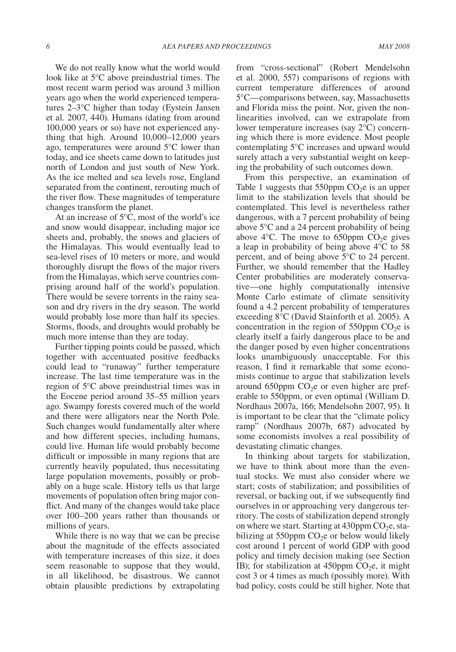We do not really know what the world would look like at 5°C above preindustrial times. The most recent warm period was around 3 million years ago when the world experienced temperatures 2–3°C higher than today (Eystein Jansen et al. 2007, 440). Humans (dating from around 100,000 years or so) have not experienced anything that high. Around 10,000–12,000 years ago, temperatures were around 5°C lower than today, and ice sheets came down to latitudes just north of London and just south of New York. As the ice melted and sea levels rose, England separated from the continent, rerouting much of the river flow. These magnitudes of temperature changes transform the planet.

At an increase of 5°C, most of the world's ice and snow would disappear, including major ice sheets and, probably, the snows and glaciers of the Himalayas. This would eventually lead to sea-level rises of 10 meters or more, and would thoroughly disrupt the flows of the major rivers from the Himalayas, which serve countries comprising around half of the world's population. There would be severe torrents in the rainy season and dry rivers in the dry season. The world would probably lose more than half its species. Storms, floods, and droughts would probably be much more intense than they are today.

Further tipping points could be passed, which together with accentuated positive feedbacks could lead to "runaway" further temperature increase. The last time temperature was in the region of 5°C above preindustrial times was in the Eocene period around 35–55 million years ago. Swampy forests covered much of the world and there were alligators near the North Pole. Such changes would fundamentally alter where and how different species, including humans, could live. Human life would probably become difficult or impossible in many regions that are currently heavily populated, thus necessitating large population movements, possibly or probably on a huge scale. History tells us that large movements of population often bring major conflict. And many of the changes would take place over 100–200 years rather than thousands or millions of years.

While there is no way that we can be precise about the magnitude of the effects associated with temperature increases of this size, it does seem reasonable to suppose that they would, in all likelihood, be disastrous. We cannot obtain plausible predictions by extrapolating from "cross-sectional" (Robert Mendelsohn et al. 2000, 557) comparisons of regions with current temperature differences of around 5°C—comparisons between, say, Massachusetts and Florida miss the point. Nor, given the nonlinearities involved, can we extrapolate from lower temperature increases (say 2°C) concerning which there is more evidence. Most people contemplating 5°C increases and upward would surely attach a very substantial weight on keeping the probability of such outcomes down.

From this perspective, an examination of Table 1 suggests that  $550$ ppm  $CO<sub>2</sub>e$  is an upper limit to the stabilization levels that should be contemplated. This level is nevertheless rather dangerous, with a 7 percent probability of being above 5°C and a 24 percent probability of being above  $4^{\circ}$ C. The move to 650ppm CO<sub>2</sub>e gives a leap in probability of being above 4°C to 58 percent, and of being above 5°C to 24 percent. Further, we should remember that the Hadley Center probabilities are moderately conservative—one highly computationally intensive Monte Carlo estimate of climate sensitivity found a 4.2 percent probability of temperatures exceeding 8°C (David Stainforth et al. 2005). A concentration in the region of 550ppm  $CO<sub>2</sub>e$  is clearly itself a fairly dangerous place to be and the danger posed by even higher concentrations looks unambiguously unacceptable. For this reason, I find it remarkable that some economists continue to argue that stabilization levels around 650ppm  $CO<sub>2</sub>e$  or even higher are preferable to 550ppm, or even optimal (William D. Nordhaus 2007a, 166; Mendelsohn 2007, 95). It is important to be clear that the "climate policy ramp" (Nordhaus 2007b, 687) advocated by some economists involves a real possibility of devastating climatic changes.

In thinking about targets for stabilization, we have to think about more than the eventual stocks. We must also consider where we start; costs of stabilization; and possibilities of reversal, or backing out, if we subsequently find ourselves in or approaching very dangerous territory. The costs of stabilization depend strongly on where we start. Starting at  $430$ ppm CO<sub>2</sub>e, stabilizing at 550ppm  $CO<sub>2</sub>e$  or below would likely cost around 1 percent of world GDP with good policy and timely decision making (see Section IB); for stabilization at 450ppm  $CO<sub>2</sub>e$ , it might cost 3 or 4 times as much (possibly more). With bad policy, costs could be still higher. Note that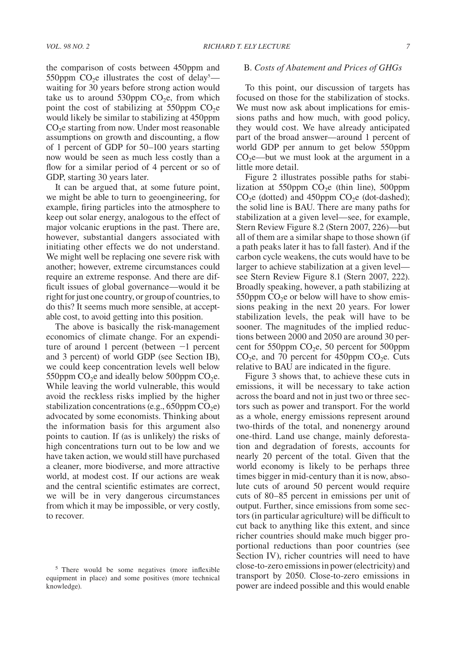the comparison of costs between 450ppm and 550ppm  $CO<sub>2</sub>e$  illustrates the cost of delay<sup>5</sup>waiting for 30 years before strong action would take us to around 530ppm  $CO<sub>2</sub>e$ , from which point the cost of stabilizing at  $550$ ppm CO<sub>2</sub>e would likely be similar to stabilizing at 450ppm  $CO<sub>2</sub>e$  starting from now. Under most reasonable assumptions on growth and discounting, a flow of 1 percent of GDP for 50–100 years starting now would be seen as much less costly than a flow for a similar period of 4 percent or so of GDP, starting 30 years later.

It can be argued that, at some future point, we might be able to turn to geoengineering, for example, firing particles into the atmosphere to keep out solar energy, analogous to the effect of major volcanic eruptions in the past. There are, however, substantial dangers associated with initiating other effects we do not understand. We might well be replacing one severe risk with another; however, extreme circumstances could require an extreme response. And there are difficult issues of global governance—would it be right for just one country, or group of countries, to do this? It seems much more sensible, at acceptable cost, to avoid getting into this position.

The above is basically the risk-management economics of climate change. For an expenditure of around 1 percent (between  $-1$  percent and 3 percent) of world GDP (see Section IB), we could keep concentration levels well below 550ppm  $CO<sub>2</sub>e$  and ideally below 500ppm  $CO<sub>2</sub>e$ . While leaving the world vulnerable, this would avoid the reckless risks implied by the higher stabilization concentrations (e.g.,  $650$ ppm  $CO<sub>2</sub>e$ ) advocated by some economists. Thinking about the information basis for this argument also points to caution. If (as is unlikely) the risks of high concentrations turn out to be low and we have taken action, we would still have purchased a cleaner, more biodiverse, and more attractive world, at modest cost. If our actions are weak and the central scientific estimates are correct, we will be in very dangerous circumstances from which it may be impossible, or very costly, to recover.

### B. *Costs of Abatement and Prices of GHGs*

To this point, our discussion of targets has focused on those for the stabilization of stocks. We must now ask about implications for emissions paths and how much, with good policy, they would cost. We have already anticipated part of the broad answer—around 1 percent of world GDP per annum to get below 550ppm  $CO<sub>2</sub>e$ —but we must look at the argument in a little more detail.

Figure 2 illustrates possible paths for stabilization at 550ppm  $CO<sub>2</sub>e$  (thin line), 500ppm  $CO<sub>2</sub>e$  (dotted) and 450ppm  $CO<sub>2</sub>e$  (dot-dashed); the solid line is BAU. There are many paths for stabilization at a given level—see, for example, Stern Review Figure 8.2 (Stern 2007, 226)—but all of them are a similar shape to those shown (if a path peaks later it has to fall faster). And if the carbon cycle weakens, the cuts would have to be larger to achieve stabilization at a given level see Stern Review Figure 8.1 (Stern 2007, 222). Broadly speaking, however, a path stabilizing at 550ppm  $CO<sub>2</sub>e$  or below will have to show emissions peaking in the next 20 years. For lower stabilization levels, the peak will have to be sooner. The magnitudes of the implied reductions between 2000 and 2050 are around 30 percent for 550ppm  $CO<sub>2</sub>e$ , 50 percent for 500ppm  $CO<sub>2</sub>e$ , and 70 percent for 450ppm  $CO<sub>2</sub>e$ . Cuts relative to BAU are indicated in the figure.

Figure 3 shows that, to achieve these cuts in emissions, it will be necessary to take action across the board and not in just two or three sectors such as power and transport. For the world as a whole, energy emissions represent around two-thirds of the total, and nonenergy around one-third. Land use change, mainly deforestation and degradation of forests, accounts for nearly 20 percent of the total. Given that the world economy is likely to be perhaps three times bigger in mid-century than it is now, absolute cuts of around 50 percent would require cuts of 80–85 percent in emissions per unit of output. Further, since emissions from some sectors (in particular agriculture) will be difficult to cut back to anything like this extent, and since richer countries should make much bigger proportional reductions than poor countries (see Section IV), richer countries will need to have close-to-zero emissions in power (electricity) and transport by 2050. Close-to-zero emissions in power are indeed possible and this would enable

<sup>&</sup>lt;sup>5</sup> There would be some negatives (more inflexible equipment in place) and some positives (more technical knowledge).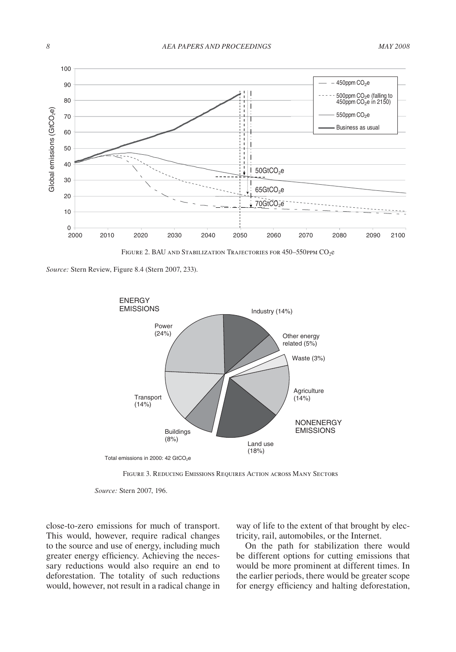

FIGURE 2. BAU AND STABILIZATION TRAJECTORIES FOR 450-550PPM CO<sub>2</sub>e

*Source:* Stern Review, Figure 8.4 (Stern 2007, 233).



Figure 3. Reducing Emissions Requires Action across Many Sectors

*Source:* Stern 2007, 196.

close-to-zero emissions for much of transport. This would, however, require radical changes to the source and use of energy, including much greater energy efficiency. Achieving the necessary reductions would also require an end to deforestation. The totality of such reductions would, however, not result in a radical change in way of life to the extent of that brought by electricity, rail, automobiles, or the Internet.

On the path for stabilization there would be different options for cutting emissions that would be more prominent at different times. In the earlier periods, there would be greater scope for energy efficiency and halting deforestation,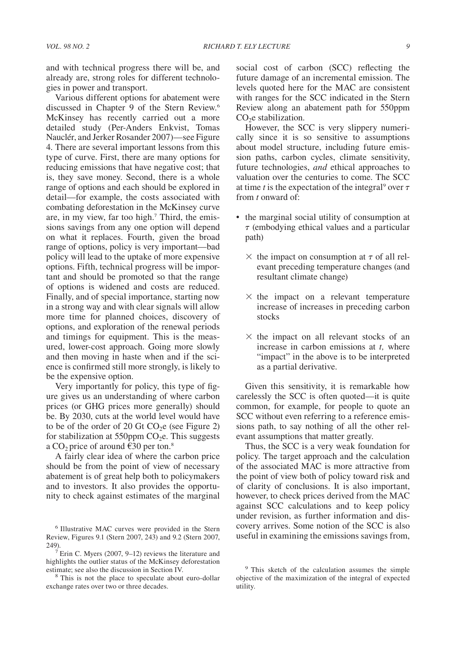and with technical progress there will be, and already are, strong roles for different technologies in power and transport.

Various different options for abatement were discussed in Chapter 9 of the Stern Review. McKinsey has recently carried out a more detailed study (Per-Anders Enkvist, Tomas Nauclér, and Jerker Rosander 2007)—see Figure 4. There are several important lessons from this type of curve. First, there are many options for reducing emissions that have negative cost; that is, they save money. Second, there is a whole range of options and each should be explored in detail—for example, the costs associated with combating deforestation in the McKinsey curve are, in my view, far too high.<sup>7</sup> Third, the emissions savings from any one option will depend on what it replaces. Fourth, given the broad range of options, policy is very important—bad policy will lead to the uptake of more expensive options. Fifth, technical progress will be important and should be promoted so that the range of options is widened and costs are reduced. Finally, and of special importance, starting now in a strong way and with clear signals will allow more time for planned choices, discovery of options, and exploration of the renewal periods and timings for equipment. This is the measured, lower-cost approach. Going more slowly and then moving in haste when and if the science is confirmed still more strongly, is likely to be the expensive option.

Very importantly for policy, this type of figure gives us an understanding of where carbon prices (or GHG prices more generally) should be. By 2030, cuts at the world level would have to be of the order of 20 Gt  $CO<sub>2</sub>e$  (see Figure 2) for stabilization at  $550$ ppm CO<sub>2</sub>e. This suggests a CO<sub>2</sub> price of around  $\epsilon$ 30 per ton.<sup>8</sup>

A fairly clear idea of where the carbon price should be from the point of view of necessary abatement is of great help both to policymakers and to investors. It also provides the opportunity to check against estimates of the marginal

social cost of carbon (SCC) reflecting the future damage of an incremental emission. The levels quoted here for the MAC are consistent with ranges for the SCC indicated in the Stern Review along an abatement path for 550ppm  $CO<sub>2</sub>e$  stabilization.

However, the SCC is very slippery numerically since it is so sensitive to assumptions about model structure, including future emission paths, carbon cycles, climate sensitivity, future technologies, *and* ethical approaches to valuation over the centuries to come. The SCC at time *t* is the expectation of the integral<sup>9</sup> over  $\tau$ from *t* onward of:

- the marginal social utility of consumption at  $\tau$  (embodying ethical values and a particular path)
	- $\times$  the impact on consumption at  $\tau$  of all relevant preceding temperature changes (and resultant climate change)
	- $\times$  the impact on a relevant temperature increase of increases in preceding carbon stocks
	- $\times$  the impact on all relevant stocks of an increase in carbon emissions at *t,* where "impact" in the above is to be interpreted as a partial derivative.

Given this sensitivity, it is remarkable how carelessly the SCC is often quoted—it is quite common, for example, for people to quote an SCC without even referring to a reference emissions path, to say nothing of all the other relevant assumptions that matter greatly.

Thus, the SCC is a very weak foundation for policy. The target approach and the calculation of the associated MAC is more attractive from the point of view both of policy toward risk and of clarity of conclusions. It is also important, however, to check prices derived from the MAC against SCC calculations and to keep policy under revision, as further information and discovery arrives. Some notion of the SCC is also useful in examining the emissions savings from,

<sup>&</sup>lt;sup>6</sup> Illustrative MAC curves were provided in the Stern Review, Figures 9.1 (Stern 2007, 243) and 9.2 (Stern 2007,  $rac{R_0}{249}$ .

Erin C. Myers (2007, 9–12) reviews the literature and highlights the outlier status of the McKinsey deforestation estimate; see also the discussion in Section IV.

This is not the place to speculate about euro-dollar exchange rates over two or three decades.

<sup>&</sup>lt;sup>9</sup> This sketch of the calculation assumes the simple objective of the maximization of the integral of expected utility.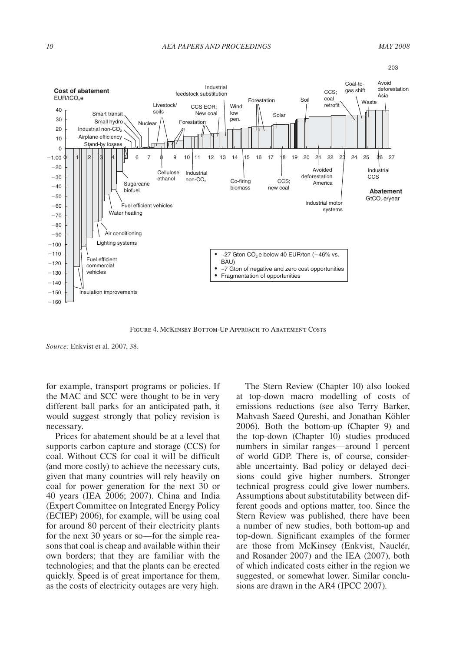

Figure 4. McKinsey Bottom-Up Approach to Abatement Costs

*Source:* Enkvist et al. 2007, 38.

for example, transport programs or policies. If the MAC and SCC were thought to be in very different ball parks for an anticipated path, it would suggest strongly that policy revision is necessary.

Prices for abatement should be at a level that supports carbon capture and storage (CCS) for coal. Without CCS for coal it will be difficult (and more costly) to achieve the necessary cuts, given that many countries will rely heavily on coal for power generation for the next 30 or 40 years (IEA 2006; 2007). China and India (Expert Committee on Integrated Energy Policy (ECIEP) 2006), for example, will be using coal for around 80 percent of their electricity plants for the next 30 years or so—for the simple reasons that coal is cheap and available within their own borders; that they are familiar with the technologies; and that the plants can be erected quickly. Speed is of great importance for them, as the costs of electricity outages are very high.

The Stern Review (Chapter 10) also looked at top-down macro modelling of costs of emissions reductions (see also Terry Barker, Mahvash Saeed Qureshi, and Jonathan Köhler 2006). Both the bottom-up (Chapter 9) and the top-down (Chapter 10) studies produced numbers in similar ranges—around 1 percent of world GDP. There is, of course, considerable uncertainty. Bad policy or delayed decisions could give higher numbers. Stronger technical progress could give lower numbers. Assumptions about substitutability between different goods and options matter, too. Since the Stern Review was published, there have been a number of new studies, both bottom-up and top-down. Significant examples of the former are those from McKinsey (Enkvist, Nauclér, and Rosander 2007) and the IEA (2007), both of which indicated costs either in the region we suggested, or somewhat lower. Similar conclusions are drawn in the AR4 (IPCC 2007).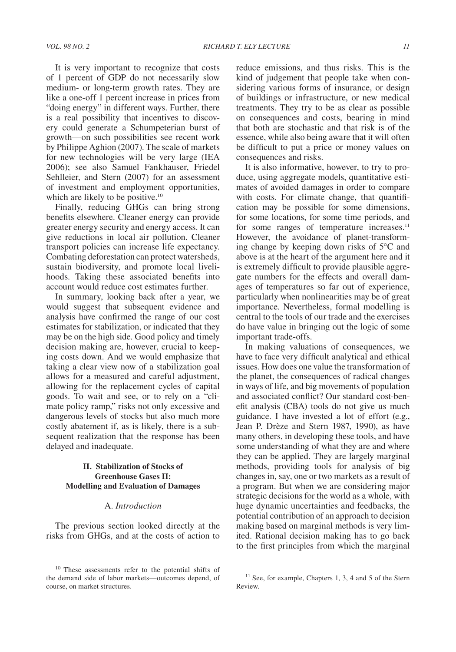It is very important to recognize that costs of 1 percent of GDP do not necessarily slow medium- or long-term growth rates. They are like a one-off 1 percent increase in prices from "doing energy" in different ways. Further, there is a real possibility that incentives to discovery could generate a Schumpeterian burst of growth—on such possibilities see recent work by Philippe Aghion (2007). The scale of markets for new technologies will be very large (IEA 2006); see also Samuel Fankhauser, Friedel Sehlleier, and Stern (2007) for an assessment of investment and employment opportunities, which are likely to be positive.<sup>10</sup>

Finally, reducing GHGs can bring strong benefits elsewhere. Cleaner energy can provide greater energy security and energy access. It can give reductions in local air pollution. Cleaner transport policies can increase life expectancy. Combating deforestation can protect watersheds, sustain biodiversity, and promote local livelihoods. Taking these associated benefits into account would reduce cost estimates further.

In summary, looking back after a year, we would suggest that subsequent evidence and analysis have confirmed the range of our cost estimates for stabilization, or indicated that they may be on the high side. Good policy and timely decision making are, however, crucial to keeping costs down. And we would emphasize that taking a clear view now of a stabilization goal allows for a measured and careful adjustment, allowing for the replacement cycles of capital goods. To wait and see, or to rely on a "climate policy ramp," risks not only excessive and dangerous levels of stocks but also much more costly abatement if, as is likely, there is a subsequent realization that the response has been delayed and inadequate.

# **II. Stabilization of Stocks of Greenhouse Gases II: Modelling and Evaluation of Damages**

### A. *Introduction*

The previous section looked directly at the risks from GHGs, and at the costs of action to reduce emissions, and thus risks. This is the kind of judgement that people take when considering various forms of insurance, or design of buildings or infrastructure, or new medical treatments. They try to be as clear as possible on consequences and costs, bearing in mind that both are stochastic and that risk is of the essence, while also being aware that it will often be difficult to put a price or money values on consequences and risks.

It is also informative, however, to try to produce, using aggregate models, quantitative estimates of avoided damages in order to compare with costs. For climate change, that quantification may be possible for some dimensions, for some locations, for some time periods, and for some ranges of temperature increases.<sup>11</sup> However, the avoidance of planet-transforming change by keeping down risks of 5°C and above is at the heart of the argument here and it is extremely difficult to provide plausible aggregate numbers for the effects and overall damages of temperatures so far out of experience, particularly when nonlinearities may be of great importance. Nevertheless, formal modelling is central to the tools of our trade and the exercises do have value in bringing out the logic of some important trade-offs.

In making valuations of consequences, we have to face very difficult analytical and ethical issues. How does one value the transformation of the planet, the consequences of radical changes in ways of life, and big movements of population and associated conflict? Our standard cost-benefit analysis (CBA) tools do not give us much guidance. I have invested a lot of effort (e.g., Jean P. Drèze and Stern 1987, 1990), as have many others, in developing these tools, and have some understanding of what they are and where they can be applied. They are largely marginal methods, providing tools for analysis of big changes in, say, one or two markets as a result of a program. But when we are considering major strategic decisions for the world as a whole, with huge dynamic uncertainties and feedbacks, the potential contribution of an approach to decision making based on marginal methods is very limited. Rational decision making has to go back to the first principles from which the marginal

<sup>10</sup> These assessments refer to the potential shifts of the demand side of labor markets—outcomes depend, of course, on market structures.

 $11$  See, for example, Chapters 1, 3, 4 and 5 of the Stern Review.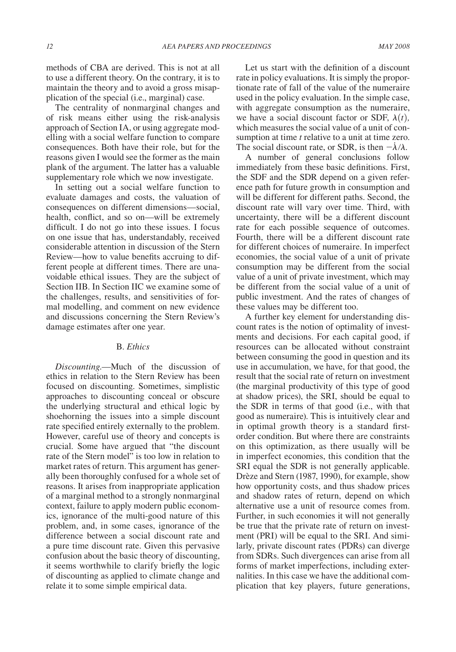methods of CBA are derived. This is not at all to use a different theory. On the contrary, it is to maintain the theory and to avoid a gross misapplication of the special (i.e., marginal) case.

The centrality of nonmarginal changes and of risk means either using the risk-analysis approach of Section IA, or using aggregate modelling with a social welfare function to compare consequences. Both have their role, but for the reasons given I would see the former as the main plank of the argument. The latter has a valuable supplementary role which we now investigate.

In setting out a social welfare function to evaluate damages and costs, the valuation of consequences on different dimensions—social, health, conflict, and so on—will be extremely difficult. I do not go into these issues. I focus on one issue that has, understandably, received considerable attention in discussion of the Stern Review—how to value benefits accruing to different people at different times. There are unavoidable ethical issues. They are the subject of Section IIB. In Section IIC we examine some of the challenges, results, and sensitivities of formal modelling, and comment on new evidence and discussions concerning the Stern Review's damage estimates after one year.

## B. *Ethics*

*Discounting*.—Much of the discussion of ethics in relation to the Stern Review has been focused on discounting. Sometimes, simplistic approaches to discounting conceal or obscure the underlying structural and ethical logic by shoehorning the issues into a simple discount rate specified entirely externally to the problem. However, careful use of theory and concepts is crucial. Some have argued that "the discount rate of the Stern model" is too low in relation to market rates of return. This argument has generally been thoroughly confused for a whole set of reasons. It arises from inappropriate application of a marginal method to a strongly nonmarginal context, failure to apply modern public economics, ignorance of the multi-good nature of this problem, and, in some cases, ignorance of the difference between a social discount rate and a pure time discount rate. Given this pervasive confusion about the basic theory of discounting, it seems worthwhile to clarify briefly the logic of discounting as applied to climate change and relate it to some simple empirical data.

Let us start with the definition of a discount rate in policy evaluations. It is simply the proportionate rate of fall of the value of the numeraire used in the policy evaluation. In the simple case, with aggregate consumption as the numeraire, we have a social discount factor or SDF,  $\lambda(t)$ , which measures the social value of a unit of consumption at time *t* relative to a unit at time zero. The social discount rate, or SDR, is then  $-\lambda/\lambda$ .

A number of general conclusions follow immediately from these basic definitions. First, the SDF and the SDR depend on a given reference path for future growth in consumption and will be different for different paths. Second, the discount rate will vary over time. Third, with uncertainty, there will be a different discount rate for each possible sequence of outcomes. Fourth, there will be a different discount rate for different choices of numeraire. In imperfect economies, the social value of a unit of private consumption may be different from the social value of a unit of private investment, which may be different from the social value of a unit of public investment. And the rates of changes of these values may be different too.

A further key element for understanding discount rates is the notion of optimality of investments and decisions. For each capital good, if resources can be allocated without constraint between consuming the good in question and its use in accumulation, we have, for that good, the result that the social rate of return on investment (the marginal productivity of this type of good at shadow prices), the SRI, should be equal to the SDR in terms of that good (i.e., with that good as numeraire). This is intuitively clear and in optimal growth theory is a standard firstorder condition. But where there are constraints on this optimization, as there usually will be in imperfect economies, this condition that the SRI equal the SDR is not generally applicable. Drèze and Stern (1987, 1990), for example, show how opportunity costs, and thus shadow prices and shadow rates of return, depend on which alternative use a unit of resource comes from. Further, in such economies it will not generally be true that the private rate of return on investment (PRI) will be equal to the SRI. And similarly, private discount rates (PDRs) can diverge from SDRs. Such divergences can arise from all forms of market imperfections, including externalities. In this case we have the additional complication that key players, future generations,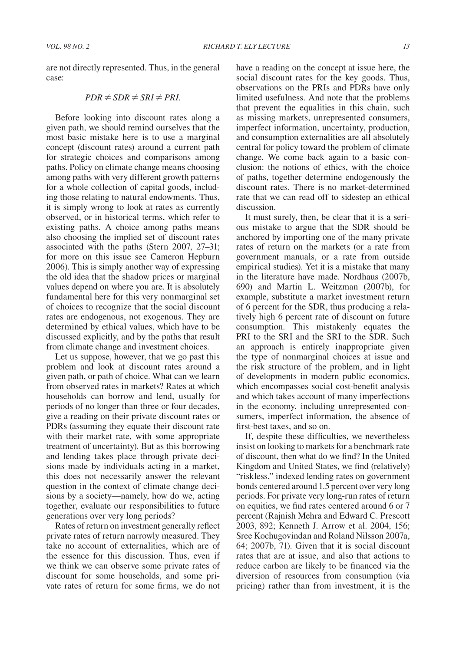are not directly represented. Thus, in the general case:

# $PDR \neq SDR \neq SRI \neq PRI$ .

Before looking into discount rates along a given path, we should remind ourselves that the most basic mistake here is to use a marginal concept (discount rates) around a current path for strategic choices and comparisons among paths. Policy on climate change means choosing among paths with very different growth patterns for a whole collection of capital goods, including those relating to natural endowments. Thus, it is simply wrong to look at rates as currently observed, or in historical terms, which refer to existing paths. A choice among paths means also choosing the implied set of discount rates associated with the paths (Stern 2007, 27–31; for more on this issue see Cameron Hepburn 2006). This is simply another way of expressing the old idea that the shadow prices or marginal values depend on where you are. It is absolutely fundamental here for this very nonmarginal set of choices to recognize that the social discount rates are endogenous, not exogenous. They are determined by ethical values, which have to be discussed explicitly, and by the paths that result from climate change and investment choices.

Let us suppose, however, that we go past this problem and look at discount rates around a given path, or path of choice. What can we learn from observed rates in markets? Rates at which households can borrow and lend, usually for periods of no longer than three or four decades, give a reading on their private discount rates or PDRs (assuming they equate their discount rate with their market rate, with some appropriate treatment of uncertainty). But as this borrowing and lending takes place through private decisions made by individuals acting in a market, this does not necessarily answer the relevant question in the context of climate change decisions by a society—namely, how do we, acting together, evaluate our responsibilities to future generations over very long periods?

Rates of return on investment generally reflect private rates of return narrowly measured. They take no account of externalities, which are of the essence for this discussion. Thus, even if we think we can observe some private rates of discount for some households, and some private rates of return for some firms, we do not

have a reading on the concept at issue here, the social discount rates for the key goods. Thus, observations on the PRIs and PDRs have only limited usefulness. And note that the problems that prevent the equalities in this chain, such as missing markets, unrepresented consumers, imperfect information, uncertainty, production, and consumption externalities are all absolutely central for policy toward the problem of climate change. We come back again to a basic conclusion: the notions of ethics, with the choice of paths, together determine endogenously the discount rates. There is no market-determined rate that we can read off to sidestep an ethical discussion.

It must surely, then, be clear that it is a serious mistake to argue that the SDR should be anchored by importing one of the many private rates of return on the markets (or a rate from government manuals, or a rate from outside empirical studies). Yet it is a mistake that many in the literature have made. Nordhaus (2007b, 690) and Martin L. Weitzman (2007b), for example, substitute a market investment return of 6 percent for the SDR, thus producing a relatively high 6 percent rate of discount on future consumption. This mistakenly equates the PRI to the SRI and the SRI to the SDR. Such an approach is entirely inappropriate given the type of nonmarginal choices at issue and the risk structure of the problem, and in light of developments in modern public economics, which encompasses social cost-benefit analysis and which takes account of many imperfections in the economy, including unrepresented consumers, imperfect information, the absence of first-best taxes, and so on.

If, despite these difficulties, we nevertheless insist on looking to markets for a benchmark rate of discount, then what do we find? In the United Kingdom and United States, we find (relatively) "riskless," indexed lending rates on government bonds centered around 1.5 percent over very long periods. For private very long-run rates of return on equities, we find rates centered around 6 or 7 percent (Rajnish Mehra and Edward C. Prescott 2003, 892; Kenneth J. Arrow et al. 2004, 156; Sree Kochugovindan and Roland Nilsson 2007a, 64; 2007b, 71). Given that it is social discount rates that are at issue, and also that actions to reduce carbon are likely to be financed via the diversion of resources from consumption (via pricing) rather than from investment, it is the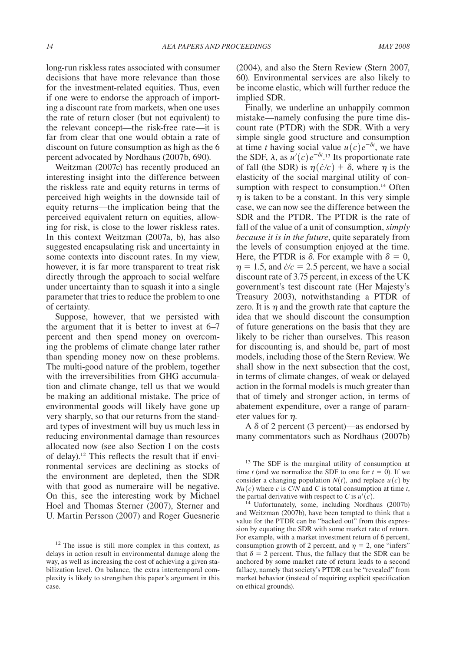long-run riskless rates associated with consumer decisions that have more relevance than those for the investment-related equities. Thus, even if one were to endorse the approach of importing a discount rate from markets, when one uses the rate of return closer (but not equivalent) to the relevant concept—the risk-free rate—it is far from clear that one would obtain a rate of discount on future consumption as high as the 6 percent advocated by Nordhaus (2007b, 690).

Weitzman (2007c) has recently produced an interesting insight into the difference between the riskless rate and equity returns in terms of perceived high weights in the downside tail of equity returns—the implication being that the perceived equivalent return on equities, allowing for risk, is close to the lower riskless rates. In this context Weitzman (2007a, b), has also suggested encapsulating risk and uncertainty in some contexts into discount rates. In my view, however, it is far more transparent to treat risk directly through the approach to social welfare under uncertainty than to squash it into a single parameter that tries to reduce the problem to one of certainty.

Suppose, however, that we persisted with the argument that it is better to invest at 6–7 percent and then spend money on overcoming the problems of climate change later rather than spending money now on these problems. The multi-good nature of the problem, together with the irreversibilities from GHG accumulation and climate change, tell us that we would be making an additional mistake. The price of environmental goods will likely have gone up very sharply, so that our returns from the standard types of investment will buy us much less in reducing environmental damage than resources allocated now (see also Section I on the costs of delay).<sup>12</sup> This reflects the result that if environmental services are declining as stocks of the environment are depleted, then the SDR with that good as numeraire will be negative. On this, see the interesting work by Michael Hoel and Thomas Sterner (2007), Sterner and U. Martin Persson (2007) and Roger Guesnerie

(2004), and also the Stern Review (Stern 2007, 60). Environmental services are also likely to be income elastic, which will further reduce the implied SDR.

Finally, we underline an unhappily common mistake—namely confusing the pure time discount rate (PTDR) with the SDR. With a very simple single good structure and consumption at time *t* having social value  $u(c)e^{-\delta t}$ , we have the SDF,  $\lambda$ , as  $u'(c)e^{-\delta t}$ .<sup>13</sup> Its proportionate rate of fall (the SDR) is  $\eta(c/c) + \delta$ , where  $\eta$  is the elasticity of the social marginal utility of consumption with respect to consumption.<sup>14</sup> Often  $\eta$  is taken to be a constant. In this very simple case, we can now see the difference between the SDR and the PTDR. The PTDR is the rate of fall of the value of a unit of consumption, *simply because it is in the future*, quite separately from the levels of consumption enjoyed at the time. Here, the PTDR is  $\delta$ . For example with  $\delta = 0$ ,  $\eta = 1.5$ , and  $\dot{c}/c = 2.5$  percent, we have a social discount rate of 3.75 percent, in excess of the UK government's test discount rate (Her Majesty's Treasury 2003), notwithstanding a PTDR of zero. It is  $\eta$  and the growth rate that capture the idea that we should discount the consumption of future generations on the basis that they are likely to be richer than ourselves. This reason for discounting is, and should be, part of most models, including those of the Stern Review. We shall show in the next subsection that the cost, in terms of climate changes, of weak or delayed action in the formal models is much greater than that of timely and stronger action, in terms of abatement expenditure, over a range of parameter values for  $\eta$ .

A  $\delta$  of 2 percent (3 percent)—as endorsed by many commentators such as Nordhaus (2007b)

<sup>12</sup> The issue is still more complex in this context, as delays in action result in environmental damage along the way, as well as increasing the cost of achieving a given stabilization level. On balance, the extra intertemporal complexity is likely to strengthen this paper's argument in this case.

<sup>&</sup>lt;sup>13</sup> The SDF is the marginal utility of consumption at time *t* (and we normalize the SDF to one for  $t = 0$ ). If we consider a changing population  $N(t)$ , and replace  $u(c)$  by  $Nu(c)$  where *c* is *C*/*N* and *C* is total consumption at time *t*,

the partial derivative with respect to *C* is  $u'(c)$ .<br><sup>14</sup> Unfortunately, some, including Nordhaus (2007b) and Weitzman (2007b), have been tempted to think that a value for the PTDR can be "backed out" from this expression by equating the SDR with some market rate of return. For example, with a market investment return of 6 percent, consumption growth of 2 percent, and  $\eta = 2$ , one "infers" that  $\delta = 2$  percent. Thus, the fallacy that the SDR can be anchored by some market rate of return leads to a second fallacy, namely that society's PTDR can be "revealed" from market behavior (instead of requiring explicit specification on ethical grounds).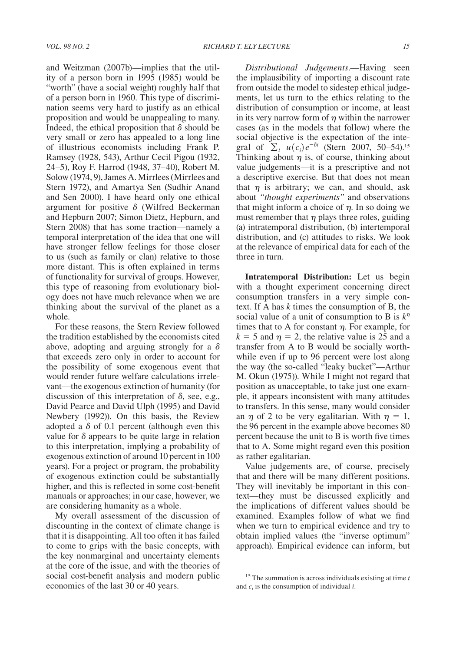and Weitzman (2007b)—implies that the utility of a person born in 1995 (1985) would be "worth" (have a social weight) roughly half that of a person born in 1960. This type of discrimination seems very hard to justify as an ethical proposition and would be unappealing to many. Indeed, the ethical proposition that  $\delta$  should be very small or zero has appealed to a long line of illustrious economists including Frank P. Ramsey (1928, 543), Arthur Cecil Pigou (1932, 24–5), Roy F. Harrod (1948, 37–40), Robert M. Solow (1974, 9), James A. Mirrlees (Mirrlees and Stern 1972), and Amartya Sen (Sudhir Anand and Sen 2000). I have heard only one ethical argument for positive  $\delta$  (Wilfred Beckerman and Hepburn 2007; Simon Dietz, Hepburn, and Stern 2008) that has some traction—namely a temporal interpretation of the idea that one will have stronger fellow feelings for those closer to us (such as family or clan) relative to those more distant. This is often explained in terms of functionality for survival of groups. However, this type of reasoning from evolutionary biology does not have much relevance when we are thinking about the survival of the planet as a whole.

For these reasons, the Stern Review followed the tradition established by the economists cited above, adopting and arguing strongly for a  $\delta$ that exceeds zero only in order to account for the possibility of some exogenous event that would render future welfare calculations irrelevant—the exogenous extinction of humanity (for discussion of this interpretation of  $\delta$ , see, e.g., David Pearce and David Ulph (1995) and David Newbery (1992)). On this basis, the Review adopted a  $\delta$  of 0.1 percent (although even this value for  $\delta$  appears to be quite large in relation to this interpretation, implying a probability of exogenous extinction of around 10 percent in 100 years). For a project or program, the probability of exogenous extinction could be substantially higher, and this is reflected in some cost-benefit manuals or approaches; in our case, however, we are considering humanity as a whole.

My overall assessment of the discussion of discounting in the context of climate change is that it is disappointing. All too often it has failed to come to grips with the basic concepts, with the key nonmarginal and uncertainty elements at the core of the issue, and with the theories of social cost-benefit analysis and modern public economics of the last 30 or 40 years.

*Distributional Judgements*.—Having seen the implausibility of importing a discount rate from outside the model to sidestep ethical judgements, let us turn to the ethics relating to the distribution of consumption or income, at least in its very narrow form of  $\eta$  within the narrower cases (as in the models that follow) where the social objective is the expectation of the integral of  $\sum_i u(c_i) e^{-\delta t}$  (Stern 2007, 50–54).<sup>15</sup> Thinking about  $\eta$  is, of course, thinking about value judgements—it is a prescriptive and not a descriptive exercise. But that does not mean that  $\eta$  is arbitrary; we can, and should, ask about *"thought experiments"* and observations that might inform a choice of  $\eta$ . In so doing we must remember that  $\eta$  plays three roles, guiding (a) intratemporal distribution, (b) intertemporal distribution, and (c) attitudes to risks. We look at the relevance of empirical data for each of the three in turn.

**Intratemporal Distribution:** Let us begin with a thought experiment concerning direct consumption transfers in a very simple context. If A has *k* times the consumption of B, the social value of a unit of consumption to B is  $k^{\eta}$ times that to A for constant  $\eta$ . For example, for  $k = 5$  and  $\eta = 2$ , the relative value is 25 and a transfer from A to B would be socially worthwhile even if up to 96 percent were lost along the way (the so-called "leaky bucket"—Arthur M. Okun (1975)). While I might not regard that position as unacceptable, to take just one example, it appears inconsistent with many attitudes to transfers. In this sense, many would consider an  $\eta$  of 2 to be very egalitarian. With  $\eta = 1$ , the 96 percent in the example above becomes 80 percent because the unit to B is worth five times that to A. Some might regard even this position as rather egalitarian.

Value judgements are, of course, precisely that and there will be many different positions. They will inevitably be important in this context—they must be discussed explicitly and the implications of different values should be examined. Examples follow of what we find when we turn to empirical evidence and try to obtain implied values (the "inverse optimum" approach). Empirical evidence can inform, but

<sup>15</sup> The summation is across individuals existing at time *t* and  $c_i$  is the consumption of individual *i*.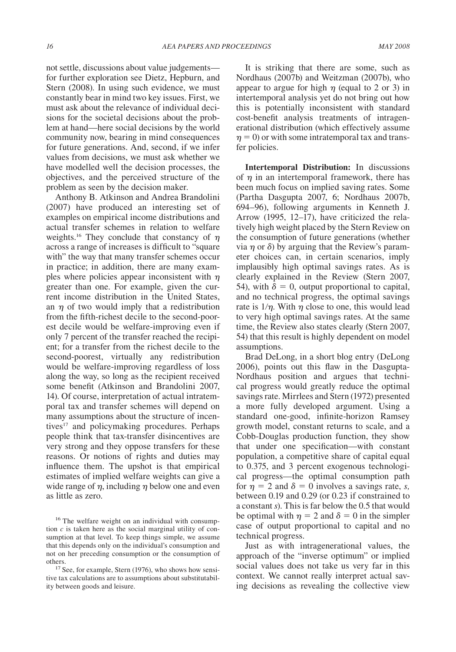not settle, discussions about value judgements for further exploration see Dietz, Hepburn, and Stern (2008). In using such evidence, we must constantly bear in mind two key issues. First, we must ask about the relevance of individual decisions for the societal decisions about the problem at hand—here social decisions by the world community now, bearing in mind consequences for future generations. And, second, if we infer values from decisions, we must ask whether we have modelled well the decision processes, the objectives, and the perceived structure of the problem as seen by the decision maker.

Anthony B. Atkinson and Andrea Brandolini (2007) have produced an interesting set of examples on empirical income distributions and actual transfer schemes in relation to welfare weights.<sup>16</sup> They conclude that constancy of  $\eta$ across a range of increases is difficult to "square with" the way that many transfer schemes occur in practice; in addition, there are many examples where policies appear inconsistent with  $\eta$ greater than one. For example, given the current income distribution in the United States, an  $\eta$  of two would imply that a redistribution from the fifth-richest decile to the second-poorest decile would be welfare-improving even if only 7 percent of the transfer reached the recipient; for a transfer from the richest decile to the second-poorest, virtually any redistribution would be welfare-improving regardless of loss along the way, so long as the recipient received some benefit (Atkinson and Brandolini 2007, 14). Of course, interpretation of actual intratemporal tax and transfer schemes will depend on many assumptions about the structure of incentives<sup>17</sup> and policymaking procedures. Perhaps people think that tax-transfer disincentives are very strong and they oppose transfers for these reasons. Or notions of rights and duties may influence them. The upshot is that empirical estimates of implied welfare weights can give a wide range of  $\eta$ , including  $\eta$  below one and even as little as zero.

It is striking that there are some, such as Nordhaus (2007b) and Weitzman (2007b), who appear to argue for high  $\eta$  (equal to 2 or 3) in intertemporal analysis yet do not bring out how this is potentially inconsistent with standard cost-benefit analysis treatments of intragenerational distribution (which effectively assume  $\eta = 0$ ) or with some intratemporal tax and transfer policies.

**Intertemporal Distribution:** In discussions of  $\eta$  in an intertemporal framework, there has been much focus on implied saving rates. Some (Partha Dasgupta 2007, 6; Nordhaus 2007b, 694–96), following arguments in Kenneth J. Arrow (1995, 12–17), have criticized the relatively high weight placed by the Stern Review on the consumption of future generations (whether via  $\eta$  or  $\delta$ ) by arguing that the Review's parameter choices can, in certain scenarios, imply implausibly high optimal savings rates. As is clearly explained in the Review (Stern 2007, 54), with  $\delta = 0$ , output proportional to capital, and no technical progress, the optimal savings rate is  $1/\eta$ . With  $\eta$  close to one, this would lead to very high optimal savings rates. At the same time, the Review also states clearly (Stern 2007, 54) that this result is highly dependent on model assumptions.

Brad DeLong, in a short blog entry (DeLong 2006), points out this flaw in the Dasgupta-Nordhaus position and argues that technical progress would greatly reduce the optimal savings rate. Mirrlees and Stern (1972) presented a more fully developed argument. Using a standard one-good, infinite-horizon Ramsey growth model, constant returns to scale, and a Cobb-Douglas production function, they show that under one specification—with constant population, a competitive share of capital equal to 0.375, and 3 percent exogenous technological progress—the optimal consumption path for  $\eta = 2$  and  $\delta = 0$  involves a savings rate, *s*, between 0.19 and 0.29 (or 0.23 if constrained to a constant *s*). This is far below the 0.5 that would be optimal with  $\eta = 2$  and  $\delta = 0$  in the simpler case of output proportional to capital and no technical progress.

Just as with intragenerational values, the approach of the "inverse optimum" or implied social values does not take us very far in this context. We cannot really interpret actual saving decisions as revealing the collective view

<sup>&</sup>lt;sup>16</sup> The welfare weight on an individual with consumption *c* is taken here as the social marginal utility of consumption at that level. To keep things simple, we assume that this depends only on the individual's consumption and not on her preceding consumption or the consumption of

others.<br><sup>17</sup> See, for example, Stern (1976), who shows how sensitive tax calculations are to assumptions about substitutability between goods and leisure.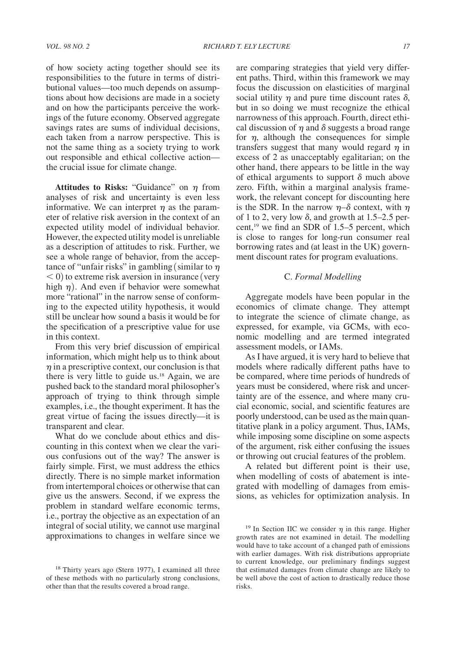of how society acting together should see its responsibilities to the future in terms of distributional values—too much depends on assumptions about how decisions are made in a society and on how the participants perceive the workings of the future economy. Observed aggregate savings rates are sums of individual decisions, each taken from a narrow perspective. This is not the same thing as a society trying to work out responsible and ethical collective action the crucial issue for climate change.

**Attitudes to Risks:** "Guidance" on  $\eta$  from analyses of risk and uncertainty is even less informative. We can interpret  $\eta$  as the parameter of relative risk aversion in the context of an expected utility model of individual behavior. However, the expected utility model is unreliable as a description of attitudes to risk. Further, we see a whole range of behavior, from the acceptance of "unfair risks" in gambling (similar to  $\eta$ )  $<$  0) to extreme risk aversion in insurance (very high  $\eta$ ). And even if behavior were somewhat more "rational" in the narrow sense of conforming to the expected utility hypothesis, it would still be unclear how sound a basis it would be for the specification of a prescriptive value for use in this context.

From this very brief discussion of empirical information, which might help us to think about  $\eta$  in a prescriptive context, our conclusion is that there is very little to guide us.18 Again, we are pushed back to the standard moral philosopher's approach of trying to think through simple examples, i.e., the thought experiment. It has the great virtue of facing the issues directly—it is transparent and clear.

What do we conclude about ethics and discounting in this context when we clear the various confusions out of the way? The answer is fairly simple. First, we must address the ethics directly. There is no simple market information from intertemporal choices or otherwise that can give us the answers. Second, if we express the problem in standard welfare economic terms, i.e., portray the objective as an expectation of an integral of social utility, we cannot use marginal approximations to changes in welfare since we

are comparing strategies that yield very different paths. Third, within this framework we may focus the discussion on elasticities of marginal social utility  $\eta$  and pure time discount rates  $\delta$ , but in so doing we must recognize the ethical narrowness of this approach. Fourth, direct ethical discussion of  $\eta$  and  $\delta$  suggests a broad range for  $\eta$ , although the consequences for simple transfers suggest that many would regard  $\eta$  in excess of 2 as unacceptably egalitarian; on the other hand, there appears to be little in the way of ethical arguments to support  $\delta$  much above zero. Fifth, within a marginal analysis framework, the relevant concept for discounting here is the SDR. In the narrow  $\eta-\delta$  context, with  $\eta$ of 1 to 2, very low  $\delta$ , and growth at 1.5–2.5 percent,<sup>19</sup> we find an SDR of 1.5–5 percent, which is close to ranges for long-run consumer real borrowing rates and (at least in the UK) government discount rates for program evaluations.

# C. *Formal Modelling*

Aggregate models have been popular in the economics of climate change. They attempt to integrate the science of climate change, as expressed, for example, via GCMs, with economic modelling and are termed integrated assessment models, or IAMs.

As I have argued, it is very hard to believe that models where radically different paths have to be compared, where time periods of hundreds of years must be considered, where risk and uncertainty are of the essence, and where many crucial economic, social, and scientific features are poorly understood, can be used as the main quantitative plank in a policy argument. Thus, IAMs, while imposing some discipline on some aspects of the argument, risk either confusing the issues or throwing out crucial features of the problem.

A related but different point is their use, when modelling of costs of abatement is integrated with modelling of damages from emissions, as vehicles for optimization analysis. In

<sup>&</sup>lt;sup>18</sup> Thirty years ago (Stern 1977), I examined all three of these methods with no particularly strong conclusions, other than that the results covered a broad range.

<sup>&</sup>lt;sup>19</sup> In Section IIC we consider  $\eta$  in this range. Higher growth rates are not examined in detail. The modelling would have to take account of a changed path of emissions with earlier damages. With risk distributions appropriate to current knowledge, our preliminary findings suggest that estimated damages from climate change are likely to be well above the cost of action to drastically reduce those risks.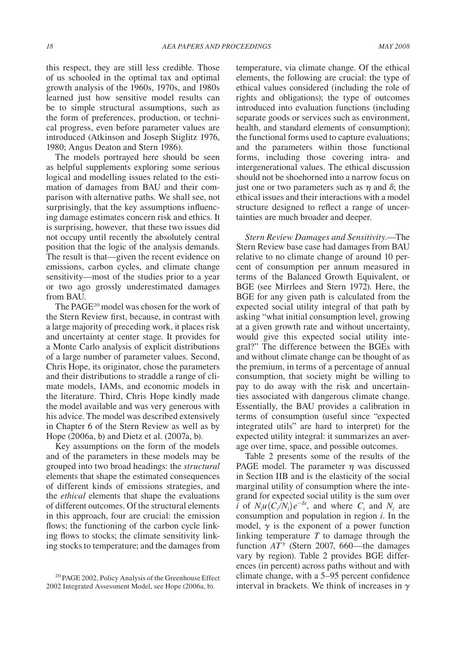this respect, they are still less credible. Those of us schooled in the optimal tax and optimal growth analysis of the 1960s, 1970s, and 1980s learned just how sensitive model results can be to simple structural assumptions, such as the form of preferences, production, or technical progress, even before parameter values are introduced (Atkinson and Joseph Stiglitz 1976, 1980; Angus Deaton and Stern 1986).

The models portrayed here should be seen as helpful supplements exploring some serious logical and modelling issues related to the estimation of damages from BAU and their comparison with alternative paths. We shall see, not surprisingly, that the key assumptions influencing damage estimates concern risk and ethics. It is surprising, however, that these two issues did not occupy until recently the absolutely central position that the logic of the analysis demands. The result is that—given the recent evidence on emissions, carbon cycles, and climate change sensitivity—most of the studies prior to a year or two ago grossly underestimated damages from BAU.

The PAGE<sup>20</sup> model was chosen for the work of the Stern Review first, because, in contrast with a large majority of preceding work, it places risk and uncertainty at center stage. It provides for a Monte Carlo analysis of explicit distributions of a large number of parameter values. Second, Chris Hope, its originator, chose the parameters and their distributions to straddle a range of climate models, IAMs, and economic models in the literature. Third, Chris Hope kindly made the model available and was very generous with his advice. The model was described extensively in Chapter 6 of the Stern Review as well as by Hope (2006a, b) and Dietz et al. (2007a, b).

Key assumptions on the form of the models and of the parameters in these models may be grouped into two broad headings: the *structural* elements that shape the estimated consequences of different kinds of emissions strategies, and the *ethical* elements that shape the evaluations of different outcomes. Of the structural elements in this approach, four are crucial: the emission flows; the functioning of the carbon cycle linking flows to stocks; the climate sensitivity linking stocks to temperature; and the damages from temperature, via climate change. Of the ethical elements, the following are crucial: the type of ethical values considered (including the role of rights and obligations); the type of outcomes introduced into evaluation functions (including separate goods or services such as environment, health, and standard elements of consumption); the functional forms used to capture evaluations; and the parameters within those functional forms, including those covering intra- and intergenerational values. The ethical discussion should not be shoehorned into a narrow focus on just one or two parameters such as  $\eta$  and  $\delta$ ; the ethical issues and their interactions with a model structure designed to reflect a range of uncertainties are much broader and deeper.

*Stern Review Damages and Sensitivity*.—The Stern Review base case had damages from BAU relative to no climate change of around 10 percent of consumption per annum measured in terms of the Balanced Growth Equivalent, or BGE (see Mirrlees and Stern 1972). Here, the BGE for any given path is calculated from the expected social utility integral of that path by asking "what initial consumption level, growing at a given growth rate and without uncertainty, would give this expected social utility integral?" The difference between the BGEs with and without climate change can be thought of as the premium, in terms of a percentage of annual consumption, that society might be willing to pay to do away with the risk and uncertainties associated with dangerous climate change. Essentially, the BAU provides a calibration in terms of consumption (useful since "expected integrated utils" are hard to interpret) for the expected utility integral: it summarizes an average over time, space, and possible outcomes.

Table 2 presents some of the results of the PAGE model. The parameter  $\eta$  was discussed in Section IIB and is the elasticity of the social marginal utility of consumption where the integrand for expected social utility is the sum over *i* of  $N_i u(C_i/N_i) e^{-\delta t}$ , and where  $C_i$  and  $N_i$  are consumption and population in region *i*. In the model,  $\gamma$  is the exponent of a power function linking temperature *T* to damage through the function  $AT^{\gamma}$  (Stern 2007, 660—the damages vary by region). Table 2 provides BGE differences (in percent) across paths without and with climate change, with a 5–95 percent confidence interval in brackets. We think of increases in  $\gamma$ 

<sup>20</sup> PAGE 2002, Policy Analysis of the Greenhouse Effect 2002 Integrated Assessment Model, see Hope (2006a, b).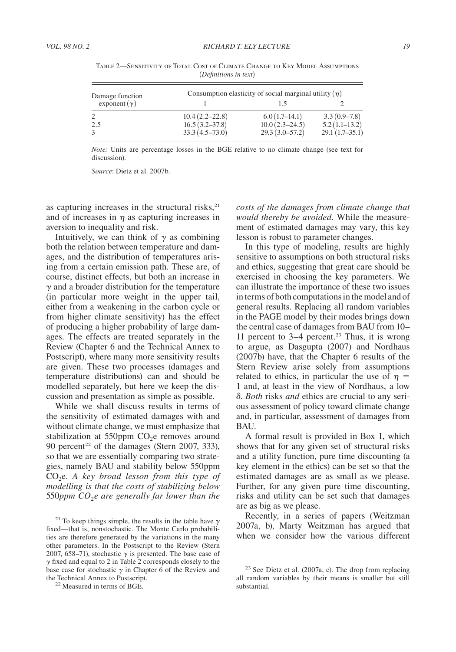| Damage function     | Consumption elasticity of social marginal utility $(\eta)$ |                    |                  |  |  |  |
|---------------------|------------------------------------------------------------|--------------------|------------------|--|--|--|
| exponent $(\gamma)$ |                                                            | ר ו                |                  |  |  |  |
|                     | $10.4(2.2 - 22.8)$                                         | 6.0(1.7–14.1)      | $3.3(0.9-7.8)$   |  |  |  |
| 2.5                 | $16.5(3.2 - 37.8)$                                         | $10.0(2.3 - 24.5)$ | $5.2(1.1-13.2)$  |  |  |  |
| 3                   | $33.3(4.5 - 73.0)$                                         | $29.3(3.0-57.2)$   | $29.1(1.7-35.1)$ |  |  |  |

Table 2—Sensitivity of Total Cost of Climate Change to Key Model Assumptions *(Definitions in text)* 

*Note:* Units are percentage losses in the BGE relative to no climate change (see text for discussion).

*Source*: Dietz et al. 2007b.

as capturing increases in the structural risks, $21$ and of increases in  $\eta$  as capturing increases in aversion to inequality and risk.

Intuitively, we can think of  $\gamma$  as combining both the relation between temperature and damages, and the distribution of temperatures arising from a certain emission path. These are, of course, distinct effects, but both an increase in  $\gamma$  and a broader distribution for the temperature (in particular more weight in the upper tail, either from a weakening in the carbon cycle or from higher climate sensitivity) has the effect of producing a higher probability of large damages. The effects are treated separately in the Review (Chapter 6 and the Technical Annex to Postscript), where many more sensitivity results are given. These two processes (damages and temperature distributions) can and should be modelled separately, but here we keep the discussion and presentation as simple as possible.

While we shall discuss results in terms of the sensitivity of estimated damages with and without climate change, we must emphasize that stabilization at 550ppm  $CO<sub>2</sub>e$  removes around 90 percent<sup>22</sup> of the damages (Stern 2007, 333), so that we are essentially comparing two strategies, namely BAU and stability below 550ppm CO2e. *A key broad lesson from this type of modelling is that the costs of stabilizing below*  550*ppm CO*2*e are generally far lower than the* 

<sup>21</sup> To keep things simple, the results in the table have  $\gamma$ fixed—that is, nonstochastic. The Monte Carlo probabilities are therefore generated by the variations in the many other parameters. In the Postscript to the Review (Stern 2007, 658–71), stochastic  $\gamma$  is presented. The base case of  $\gamma$  fixed and equal to 2 in Table 2 corresponds closely to the base case for stochastic  $\gamma$  in Chapter 6 of the Review and the Technical Annex to Postscript.

 $t^{22}$  Measured in terms of BGE.

*costs of the damages from climate change that would thereby be avoided.* While the measurement of estimated damages may vary, this key lesson is robust to parameter changes.

In this type of modeling, results are highly sensitive to assumptions on both structural risks and ethics, suggesting that great care should be exercised in choosing the key parameters. We can illustrate the importance of these two issues in terms of both computations in the model and of general results. Replacing all random variables in the PAGE model by their modes brings down the central case of damages from BAU from 10– 11 percent to  $3-4$  percent.<sup>23</sup> Thus, it is wrong to argue, as Dasgupta (2007) and Nordhaus (2007b) have, that the Chapter 6 results of the Stern Review arise solely from assumptions related to ethics, in particular the use of  $\eta$  = 1 and, at least in the view of Nordhaus, a low d. *Both* risks *and* ethics are crucial to any serious assessment of policy toward climate change and, in particular, assessment of damages from BAU.

A formal result is provided in Box 1, which shows that for any given set of structural risks and a utility function, pure time discounting (a key element in the ethics) can be set so that the estimated damages are as small as we please. Further, for any given pure time discounting, risks and utility can be set such that damages are as big as we please.

Recently, in a series of papers (Weitzman 2007a, b), Marty Weitzman has argued that when we consider how the various different

<sup>23</sup> See Dietz et al. (2007a, c). The drop from replacing all random variables by their means is smaller but still substantial.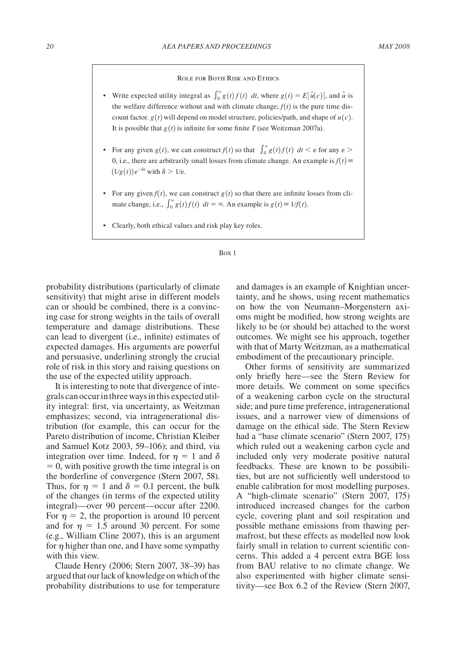#### Role for Both Risk and Ethics

- Write expected utility integral as  $\int_0^{\infty} g(t) f(t) dt$ , where  $g(t) = E[\hat{u}(c)]$ , and  $\hat{u}$  is the welfare difference without and with climate change;  $f(t)$  is the pure time discount factor.  $g(t)$  will depend on model structure, policies/path, and shape of  $u(c)$ . It is possible that  $g(t)$  is infinite for some finite *T* (see Weitzman 2007a).
- For any given  $g(t)$ , we can construct  $f(t)$  so that  $\int_0^\infty g(t) f(t) \, dt < \varepsilon$  for any  $\varepsilon >$ 0, i.e., there are arbitrarily small losses from climate change. An example is  $f(t)$  $(1/g(t))e^{-\delta t}$  with  $\delta > 1/\varepsilon$ .
- For any given  $f(t)$ , we can construct  $g(t)$  so that there are infinite losses from climate change, i.e.,  $\int_0^\infty g(t) f(t) dt = \infty$ . An example is  $g(t) \equiv 1/f(t)$ .

• Clearly, both ethical values and risk play key roles.

#### Box 1

probability distributions (particularly of climate sensitivity) that might arise in different models can or should be combined, there is a convincing case for strong weights in the tails of overall temperature and damage distributions. These can lead to divergent (i.e., infinite) estimates of expected damages. His arguments are powerful and persuasive, underlining strongly the crucial role of risk in this story and raising questions on the use of the expected utility approach.

It is interesting to note that divergence of integrals can occur in three ways in this expected utility integral: first, via uncertainty, as Weitzman emphasizes; second, via intragenerational distribution (for example, this can occur for the Pareto distribution of income, Christian Kleiber and Samuel Kotz 2003, 59–106); and third, via integration over time. Indeed, for  $\eta = 1$  and  $\delta$  $= 0$ , with positive growth the time integral is on the borderline of convergence (Stern 2007, 58). Thus, for  $\eta = 1$  and  $\delta = 0.1$  percent, the bulk of the changes (in terms of the expected utility integral)—over 90 percent—occur after 2200. For  $\eta = 2$ , the proportion is around 10 percent and for  $\eta = 1.5$  around 30 percent. For some (e.g., William Cline 2007), this is an argument for  $\eta$  higher than one, and I have some sympathy with this view.

Claude Henry (2006; Stern 2007, 38–39) has argued that our lack of knowledge on which of the probability distributions to use for temperature

and damages is an example of Knightian uncertainty, and he shows, using recent mathematics on how the von Neumann–Morgenstern axioms might be modified, how strong weights are likely to be (or should be) attached to the worst outcomes. We might see his approach, together with that of Marty Weitzman, as a mathematical embodiment of the precautionary principle.

Other forms of sensitivity are summarized only briefly here—see the Stern Review for more details. We comment on some specifics of a weakening carbon cycle on the structural side; and pure time preference, intragenerational issues, and a narrower view of dimensions of damage on the ethical side. The Stern Review had a "base climate scenario" (Stern 2007, 175) which ruled out a weakening carbon cycle and included only very moderate positive natural feedbacks. These are known to be possibilities, but are not sufficiently well understood to enable calibration for most modelling purposes. A "high-climate scenario" (Stern 2007, 175) introduced increased changes for the carbon cycle, covering plant and soil respiration and possible methane emissions from thawing permafrost, but these effects as modelled now look fairly small in relation to current scientific concerns. This added a 4 percent extra BGE loss from BAU relative to no climate change. We also experimented with higher climate sensitivity—see Box 6.2 of the Review (Stern 2007,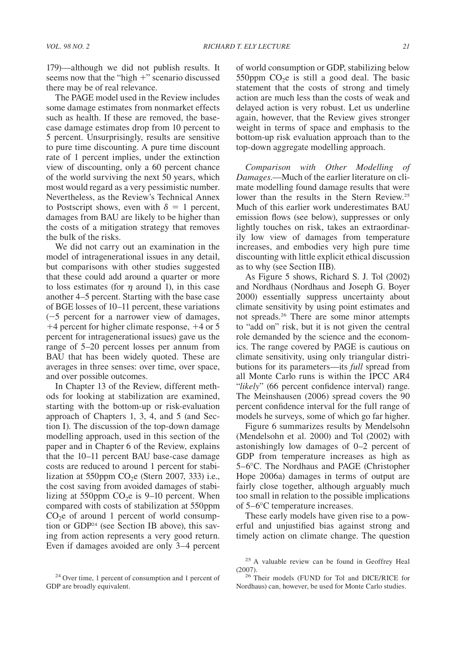179)—although we did not publish results. It seems now that the "high +" scenario discussed there may be of real relevance.

The PAGE model used in the Review includes some damage estimates from nonmarket effects such as health. If these are removed, the basecase damage estimates drop from 10 percent to 5 percent. Unsurprisingly, results are sensitive to pure time discounting. A pure time discount rate of 1 percent implies, under the extinction view of discounting, only a 60 percent chance of the world surviving the next 50 years, which most would regard as a very pessimistic number. Nevertheless, as the Review's Technical Annex to Postscript shows, even with  $\delta = 1$  percent, damages from BAU are likely to be higher than the costs of a mitigation strategy that removes the bulk of the risks.

We did not carry out an examination in the model of intragenerational issues in any detail, but comparisons with other studies suggested that these could add around a quarter or more to loss estimates (for  $\eta$  around 1), in this case another 4–5 percent. Starting with the base case of BGE losses of 10–11 percent, these variations  $(-5)$  percent for a narrower view of damages,  $+4$  percent for higher climate response,  $+4$  or 5 percent for intragenerational issues) gave us the range of 5–20 percent losses per annum from BAU that has been widely quoted. These are averages in three senses: over time, over space, and over possible outcomes.

In Chapter 13 of the Review, different methods for looking at stabilization are examined, starting with the bottom-up or risk-evaluation approach of Chapters 1, 3, 4, and 5 (and Section I). The discussion of the top-down damage modelling approach, used in this section of the paper and in Chapter 6 of the Review, explains that the 10–11 percent BAU base-case damage costs are reduced to around 1 percent for stabilization at 550ppm  $CO<sub>2</sub>e$  (Stern 2007, 333) i.e., the cost saving from avoided damages of stabilizing at 550ppm  $CO<sub>2</sub>e$  is 9–10 percent. When compared with costs of stabilization at 550ppm  $CO<sub>2</sub>e$  of around 1 percent of world consumption or GDP24 (see Section IB above), this saving from action represents a very good return. Even if damages avoided are only 3–4 percent

of world consumption or GDP, stabilizing below 550ppm  $CO<sub>2</sub>e$  is still a good deal. The basic statement that the costs of strong and timely action are much less than the costs of weak and delayed action is very robust. Let us underline again, however, that the Review gives stronger weight in terms of space and emphasis to the bottom-up risk evaluation approach than to the top-down aggregate modelling approach.

*Comparison with Other Modelling of Damages*.—Much of the earlier literature on climate modelling found damage results that were lower than the results in the Stern Review.<sup>25</sup> Much of this earlier work underestimates BAU emission flows (see below), suppresses or only lightly touches on risk, takes an extraordinarily low view of damages from temperature increases, and embodies very high pure time discounting with little explicit ethical discussion as to why (see Section IIB).

As Figure 5 shows, Richard S. J. Tol (2002) and Nordhaus (Nordhaus and Joseph G. Boyer 2000) essentially suppress uncertainty about climate sensitivity by using point estimates and not spreads.26 There are some minor attempts to "add on" risk, but it is not given the central role demanded by the science and the economics. The range covered by PAGE is cautious on climate sensitivity, using only triangular distributions for its parameters—its *full* spread from all Monte Carlo runs is within the IPCC AR4 "*likely*" (66 percent confidence interval) range. The Meinshausen (2006) spread covers the 90 percent confidence interval for the full range of models he surveys, some of which go far higher.

Figure 6 summarizes results by Mendelsohn (Mendelsohn et al. 2000) and Tol (2002) with astonishingly low damages of 0–2 percent of GDP from temperature increases as high as 5–6°C. The Nordhaus and PAGE (Christopher Hope 2006a) damages in terms of output are fairly close together, although arguably much too small in relation to the possible implications of 5–6°C temperature increases.

These early models have given rise to a powerful and unjustified bias against strong and timely action on climate change. The question

<sup>24</sup> Over time, 1 percent of consumption and 1 percent of GDP are broadly equivalent.

<sup>25</sup> A valuable review can be found in Geoffrey Heal

<sup>(2007).&</sup>lt;br><sup>26</sup> Their models (FUND for Tol and DICE/RICE for  $\frac{26}{15}$  Their Monte Carlo studies. Nordhaus) can, however, be used for Monte Carlo studies.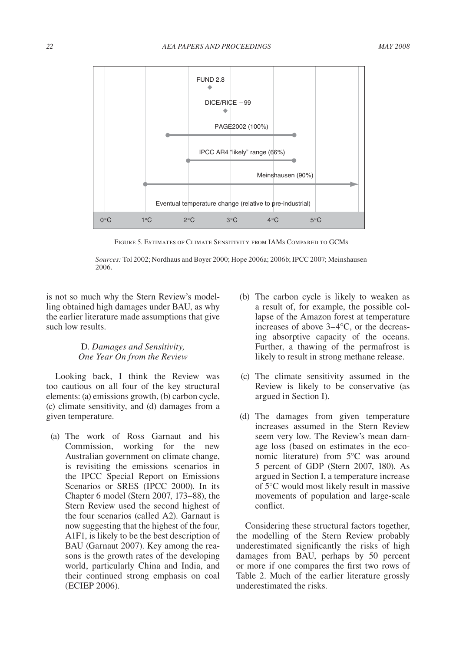

Figure 5. Estimates of Climate Sensitivity from IAMs Compared to GCMs

*Sources:* Tol 2002; Nordhaus and Boyer 2000; Hope 2006a; 2006b; IPCC 2007; Meinshausen 2006.

is not so much why the Stern Review's modelling obtained high damages under BAU, as why the earlier literature made assumptions that give such low results.

## D. *Damages and Sensitivity, One Year On from the Review*

Looking back, I think the Review was too cautious on all four of the key structural elements: (a) emissions growth, (b) carbon cycle, (c) climate sensitivity, and (d) damages from a given temperature.

(a) The work of Ross Garnaut and his Commission, working for the new Australian government on climate change, is revisiting the emissions scenarios in the IPCC Special Report on Emissions Scenarios or SRES (IPCC 2000). In its Chapter 6 model (Stern 2007, 173–88), the Stern Review used the second highest of the four scenarios (called A2). Garnaut is now suggesting that the highest of the four, A1F1, is likely to be the best description of BAU (Garnaut 2007). Key among the reasons is the growth rates of the developing world, particularly China and India, and their continued strong emphasis on coal (ECIEP 2006).

- (b) The carbon cycle is likely to weaken as a result of, for example, the possible collapse of the Amazon forest at temperature increases of above 3–4°C, or the decreasing absorptive capacity of the oceans. Further, a thawing of the permafrost is likely to result in strong methane release.
- (c) The climate sensitivity assumed in the Review is likely to be conservative (as argued in Section I).
- (d) The damages from given temperature increases assumed in the Stern Review seem very low. The Review's mean damage loss (based on estimates in the economic literature) from 5°C was around 5 percent of GDP (Stern 2007, 180). As argued in Section I, a temperature increase of 5°C would most likely result in massive movements of population and large-scale conflict.

Considering these structural factors together, the modelling of the Stern Review probably underestimated significantly the risks of high damages from BAU, perhaps by 50 percent or more if one compares the first two rows of Table 2. Much of the earlier literature grossly underestimated the risks.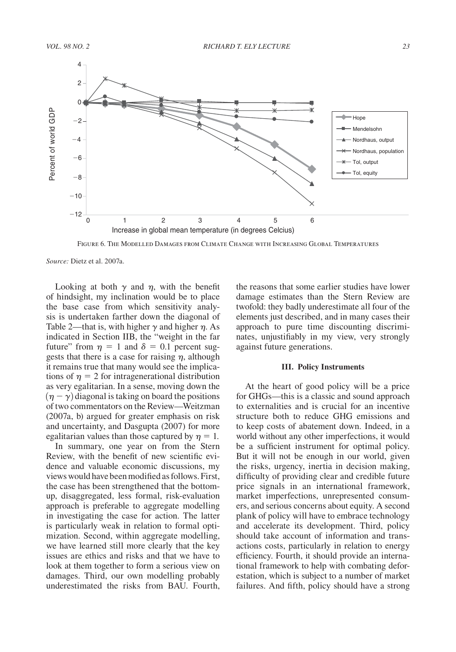

Figure 6. The Modelled Damages from Climate Change with Increasing Global Temperatures

*Source:* Dietz et al. 2007a.

Looking at both  $\gamma$  and  $\eta$ , with the benefit of hindsight, my inclination would be to place the base case from which sensitivity analysis is undertaken farther down the diagonal of Table 2—that is, with higher  $\gamma$  and higher  $\eta$ . As indicated in Section IIB, the "weight in the far future" from  $\eta = 1$  and  $\delta = 0.1$  percent suggests that there is a case for raising  $\eta$ , although it remains true that many would see the implications of  $\eta = 2$  for intragenerational distribution as very egalitarian. In a sense, moving down the  $(\eta - \gamma)$  diagonal is taking on board the positions of two commentators on the Review—Weitzman (2007a, b) argued for greater emphasis on risk and uncertainty, and Dasgupta (2007) for more egalitarian values than those captured by  $\eta = 1$ .

In summary, one year on from the Stern Review, with the benefit of new scientific evidence and valuable economic discussions, my views would have been modified as follows. First, the case has been strengthened that the bottomup, disaggregated, less formal, risk-evaluation approach is preferable to aggregate modelling in investigating the case for action. The latter is particularly weak in relation to formal optimization. Second, within aggregate modelling, we have learned still more clearly that the key issues are ethics and risks and that we have to look at them together to form a serious view on damages. Third, our own modelling probably underestimated the risks from BAU. Fourth,

the reasons that some earlier studies have lower damage estimates than the Stern Review are twofold: they badly underestimate all four of the elements just described, and in many cases their approach to pure time discounting discriminates, unjustifiably in my view, very strongly against future generations.

### **III. Policy Instruments**

At the heart of good policy will be a price for GHGs—this is a classic and sound approach to externalities and is crucial for an incentive structure both to reduce GHG emissions and to keep costs of abatement down. Indeed, in a world without any other imperfections, it would be a sufficient instrument for optimal policy. But it will not be enough in our world, given the risks, urgency, inertia in decision making, difficulty of providing clear and credible future price signals in an international framework, market imperfections, unrepresented consumers, and serious concerns about equity. A second plank of policy will have to embrace technology and accelerate its development. Third, policy should take account of information and transactions costs, particularly in relation to energy efficiency. Fourth, it should provide an international framework to help with combating deforestation, which is subject to a number of market failures. And fifth, policy should have a strong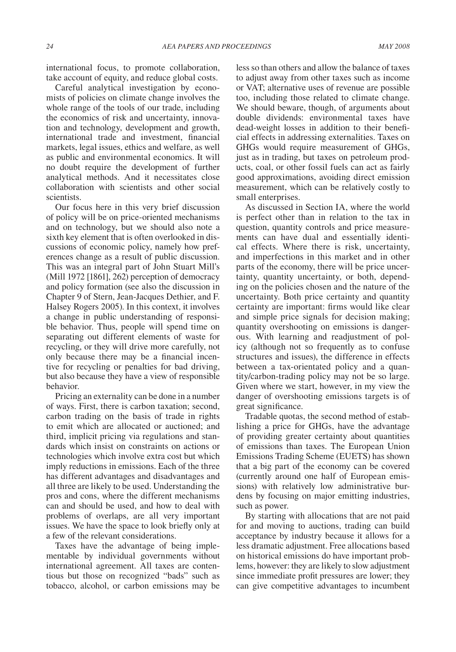international focus, to promote collaboration, take account of equity, and reduce global costs.

Careful analytical investigation by economists of policies on climate change involves the whole range of the tools of our trade, including the economics of risk and uncertainty, innovation and technology, development and growth, international trade and investment, financial markets, legal issues, ethics and welfare, as well as public and environmental economics. It will no doubt require the development of further analytical methods. And it necessitates close collaboration with scientists and other social scientists.

Our focus here in this very brief discussion of policy will be on price-oriented mechanisms and on technology, but we should also note a sixth key element that is often overlooked in discussions of economic policy, namely how preferences change as a result of public discussion. This was an integral part of John Stuart Mill's (Mill 1972 [1861], 262) perception of democracy and policy formation (see also the discussion in Chapter 9 of Stern, Jean-Jacques Dethier, and F. Halsey Rogers 2005). In this context, it involves a change in public understanding of responsible behavior. Thus, people will spend time on separating out different elements of waste for recycling, or they will drive more carefully, not only because there may be a financial incentive for recycling or penalties for bad driving, but also because they have a view of responsible behavior.

Pricing an externality can be done in a number of ways. First, there is carbon taxation; second, carbon trading on the basis of trade in rights to emit which are allocated or auctioned; and third, implicit pricing via regulations and standards which insist on constraints on actions or technologies which involve extra cost but which imply reductions in emissions. Each of the three has different advantages and disadvantages and all three are likely to be used. Understanding the pros and cons, where the different mechanisms can and should be used, and how to deal with problems of overlaps, are all very important issues. We have the space to look briefly only at a few of the relevant considerations.

Taxes have the advantage of being implementable by individual governments without international agreement. All taxes are contentious but those on recognized "bads" such as tobacco, alcohol, or carbon emissions may be less so than others and allow the balance of taxes to adjust away from other taxes such as income or VAT; alternative uses of revenue are possible too, including those related to climate change. We should beware, though, of arguments about double dividends: environmental taxes have dead-weight losses in addition to their beneficial effects in addressing externalities. Taxes on GHGs would require measurement of GHGs, just as in trading, but taxes on petroleum products, coal, or other fossil fuels can act as fairly good approximations, avoiding direct emission measurement, which can be relatively costly to small enterprises.

As discussed in Section IA, where the world is perfect other than in relation to the tax in question, quantity controls and price measurements can have dual and essentially identical effects. Where there is risk, uncertainty, and imperfections in this market and in other parts of the economy, there will be price uncertainty, quantity uncertainty, or both, depending on the policies chosen and the nature of the uncertainty. Both price certainty and quantity certainty are important: firms would like clear and simple price signals for decision making; quantity overshooting on emissions is dangerous. With learning and readjustment of policy (although not so frequently as to confuse structures and issues), the difference in effects between a tax-orientated policy and a quantity/carbon-trading policy may not be so large. Given where we start, however, in my view the danger of overshooting emissions targets is of great significance.

Tradable quotas, the second method of establishing a price for GHGs, have the advantage of providing greater certainty about quantities of emissions than taxes. The European Union Emissions Trading Scheme (EUETS) has shown that a big part of the economy can be covered (currently around one half of European emissions) with relatively low administrative burdens by focusing on major emitting industries, such as power.

By starting with allocations that are not paid for and moving to auctions, trading can build acceptance by industry because it allows for a less dramatic adjustment. Free allocations based on historical emissions do have important problems, however: they are likely to slow adjustment since immediate profit pressures are lower; they can give competitive advantages to incumbent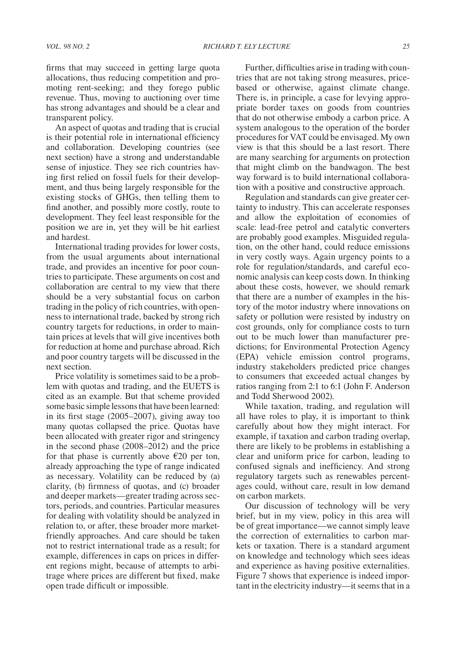firms that may succeed in getting large quota allocations, thus reducing competition and promoting rent-seeking; and they forego public revenue. Thus, moving to auctioning over time has strong advantages and should be a clear and transparent policy.

An aspect of quotas and trading that is crucial is their potential role in international efficiency and collaboration. Developing countries (see next section) have a strong and understandable sense of injustice. They see rich countries having first relied on fossil fuels for their development, and thus being largely responsible for the existing stocks of GHGs, then telling them to find another, and possibly more costly, route to development. They feel least responsible for the position we are in, yet they will be hit earliest and hardest.

International trading provides for lower costs, from the usual arguments about international trade, and provides an incentive for poor countries to participate. These arguments on cost and collaboration are central to my view that there should be a very substantial focus on carbon trading in the policy of rich countries, with openness to international trade, backed by strong rich country targets for reductions, in order to maintain prices at levels that will give incentives both for reduction at home and purchase abroad. Rich and poor country targets will be discussed in the next section.

Price volatility is sometimes said to be a problem with quotas and trading, and the EUETS is cited as an example. But that scheme provided some basic simple lessons that have been learned: in its first stage (2005–2007), giving away too many quotas collapsed the price. Quotas have been allocated with greater rigor and stringency in the second phase (2008–2012) and the price for that phase is currently above  $\epsilon$ 20 per ton, already approaching the type of range indicated as necessary. Volatility can be reduced by (a) clarity, (b) firmness of quotas, and (c) broader and deeper markets—greater trading across sectors, periods, and countries. Particular measures for dealing with volatility should be analyzed in relation to, or after, these broader more marketfriendly approaches. And care should be taken not to restrict international trade as a result; for example, differences in caps on prices in different regions might, because of attempts to arbitrage where prices are different but fixed, make open trade difficult or impossible.

Further, difficulties arise in trading with countries that are not taking strong measures, pricebased or otherwise, against climate change. There is, in principle, a case for levying appropriate border taxes on goods from countries that do not otherwise embody a carbon price. A system analogous to the operation of the border procedures for VAT could be envisaged. My own view is that this should be a last resort. There are many searching for arguments on protection that might climb on the bandwagon. The best way forward is to build international collaboration with a positive and constructive approach.

Regulation and standards can give greater certainty to industry. This can accelerate responses and allow the exploitation of economies of scale: lead-free petrol and catalytic converters are probably good examples. Misguided regulation, on the other hand, could reduce emissions in very costly ways. Again urgency points to a role for regulation/standards, and careful economic analysis can keep costs down. In thinking about these costs, however, we should remark that there are a number of examples in the history of the motor industry where innovations on safety or pollution were resisted by industry on cost grounds, only for compliance costs to turn out to be much lower than manufacturer predictions; for Environmental Protection Agency (EPA) vehicle emission control programs, industry stakeholders predicted price changes to consumers that exceeded actual changes by ratios ranging from 2:1 to 6:1 (John F. Anderson and Todd Sherwood 2002).

While taxation, trading, and regulation will all have roles to play, it is important to think carefully about how they might interact. For example, if taxation and carbon trading overlap, there are likely to be problems in establishing a clear and uniform price for carbon, leading to confused signals and inefficiency. And strong regulatory targets such as renewables percentages could, without care, result in low demand on carbon markets.

Our discussion of technology will be very brief, but in my view, policy in this area will be of great importance—we cannot simply leave the correction of externalities to carbon markets or taxation. There is a standard argument on knowledge and technology which sees ideas and experience as having positive externalities. Figure 7 shows that experience is indeed important in the electricity industry—it seems that in a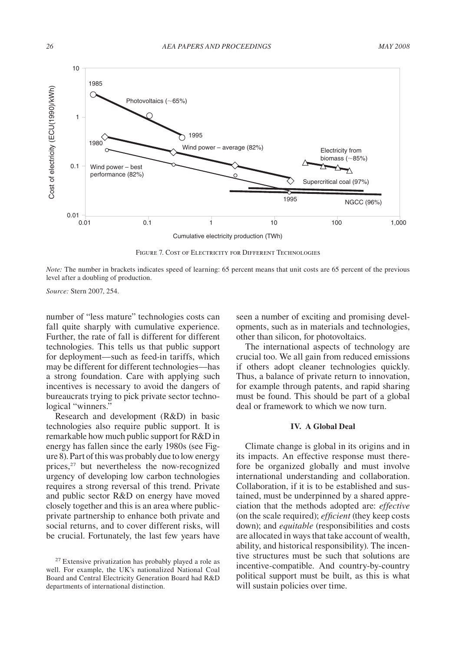

Figure 7. Cost of Electricity for Different Technologies

*Note:* The number in brackets indicates speed of learning: 65 percent means that unit costs are 65 percent of the previous level after a doubling of production.

*Source:* Stern 2007, 254.

number of "less mature" technologies costs can fall quite sharply with cumulative experience. Further, the rate of fall is different for different technologies. This tells us that public support for deployment—such as feed-in tariffs, which may be different for different technologies—has a strong foundation. Care with applying such incentives is necessary to avoid the dangers of bureaucrats trying to pick private sector technological "winners."

Research and development (R&D) in basic technologies also require public support. It is remarkable how much public support for R&D in energy has fallen since the early 1980s (see Figure 8). Part of this was probably due to low energy prices,27 but nevertheless the now-recognized urgency of developing low carbon technologies requires a strong reversal of this trend. Private and public sector R&D on energy have moved closely together and this is an area where publicprivate partnership to enhance both private and social returns, and to cover different risks, will be crucial. Fortunately, the last few years have

seen a number of exciting and promising developments, such as in materials and technologies, other than silicon, for photovoltaics.

The international aspects of technology are crucial too. We all gain from reduced emissions if others adopt cleaner technologies quickly. Thus, a balance of private return to innovation, for example through patents, and rapid sharing must be found. This should be part of a global deal or framework to which we now turn.

## **IV. A Global Deal**

Climate change is global in its origins and in its impacts. An effective response must therefore be organized globally and must involve international understanding and collaboration. Collaboration, if it is to be established and sustained, must be underpinned by a shared appreciation that the methods adopted are: *effective* (on the scale required); *efficient* (they keep costs down); and *equitable* (responsibilities and costs are allocated in ways that take account of wealth, ability, and historical responsibility). The incentive structures must be such that solutions are incentive-compatible. And country-by-country political support must be built, as this is what will sustain policies over time.

<sup>27</sup> Extensive privatization has probably played a role as well. For example, the UK's nationalized National Coal Board and Central Electricity Generation Board had R&D departments of international distinction.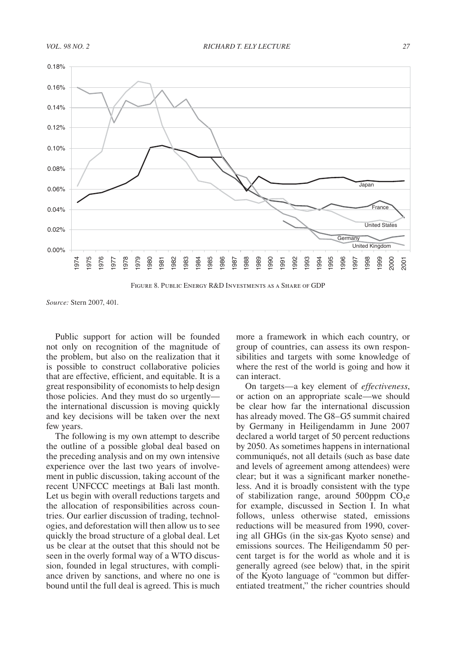

Figure 8. Public Energy R&D Investments as a Share of GDP

*Source:* Stern 2007, 401.

Public support for action will be founded not only on recognition of the magnitude of the problem, but also on the realization that it is possible to construct collaborative policies that are effective, efficient, and equitable. It is a great responsibility of economists to help design those policies. And they must do so urgently the international discussion is moving quickly and key decisions will be taken over the next few years.

The following is my own attempt to describe the outline of a possible global deal based on the preceding analysis and on my own intensive experience over the last two years of involvement in public discussion, taking account of the recent UNFCCC meetings at Bali last month. Let us begin with overall reductions targets and the allocation of responsibilities across countries. Our earlier discussion of trading, technologies, and deforestation will then allow us to see quickly the broad structure of a global deal. Let us be clear at the outset that this should not be seen in the overly formal way of a WTO discussion, founded in legal structures, with compliance driven by sanctions, and where no one is bound until the full deal is agreed. This is much

more a framework in which each country, or group of countries, can assess its own responsibilities and targets with some knowledge of where the rest of the world is going and how it can interact.

On targets—a key element of *effectiveness*, or action on an appropriate scale—we should be clear how far the international discussion has already moved. The G8–G5 summit chaired by Germany in Heiligendamm in June 2007 declared a world target of 50 percent reductions by 2050. As sometimes happens in international communiqués, not all details (such as base date and levels of agreement among attendees) were clear; but it was a significant marker nonetheless. And it is broadly consistent with the type of stabilization range, around 500ppm  $CO<sub>2</sub>e$ for example, discussed in Section I. In what follows, unless otherwise stated, emissions reductions will be measured from 1990, covering all GHGs (in the six-gas Kyoto sense) and emissions sources. The Heiligendamm 50 percent target is for the world as whole and it is generally agreed (see below) that, in the spirit of the Kyoto language of "common but differentiated treatment," the richer countries should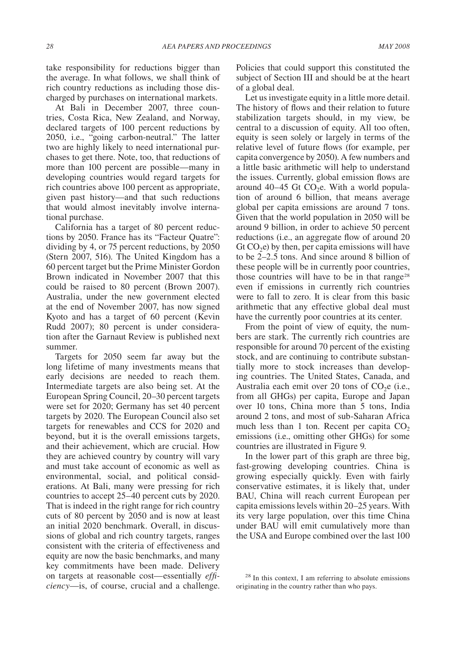take responsibility for reductions bigger than the average. In what follows, we shall think of rich country reductions as including those discharged by purchases on international markets.

At Bali in December 2007, three countries, Costa Rica, New Zealand, and Norway, declared targets of 100 percent reductions by 2050, i.e., "going carbon-neutral." The latter two are highly likely to need international purchases to get there. Note, too, that reductions of more than 100 percent are possible—many in developing countries would regard targets for rich countries above 100 percent as appropriate, given past history—and that such reductions that would almost inevitably involve international purchase.

California has a target of 80 percent reductions by 2050. France has its "Facteur Quatre": dividing by 4, or 75 percent reductions, by 2050 (Stern 2007, 516). The United Kingdom has a 60 percent target but the Prime Minister Gordon Brown indicated in November 2007 that this could be raised to 80 percent (Brown 2007). Australia, under the new government elected at the end of November 2007, has now signed Kyoto and has a target of 60 percent (Kevin Rudd 2007); 80 percent is under consideration after the Garnaut Review is published next summer.

Targets for 2050 seem far away but the long lifetime of many investments means that early decisions are needed to reach them. Intermediate targets are also being set. At the European Spring Council, 20–30 percent targets were set for 2020; Germany has set 40 percent targets by 2020. The European Council also set targets for renewables and CCS for 2020 and beyond, but it is the overall emissions targets, and their achievement, which are crucial. How they are achieved country by country will vary and must take account of economic as well as environmental, social, and political considerations. At Bali, many were pressing for rich countries to accept 25–40 percent cuts by 2020. That is indeed in the right range for rich country cuts of 80 percent by 2050 and is now at least an initial 2020 benchmark. Overall, in discussions of global and rich country targets, ranges consistent with the criteria of effectiveness and equity are now the basic benchmarks, and many key commitments have been made. Delivery on targets at reasonable cost—essentially *efficiency*—is, of course, crucial and a challenge. Policies that could support this constituted the subject of Section III and should be at the heart of a global deal.

Let us investigate equity in a little more detail. The history of flows and their relation to future stabilization targets should, in my view, be central to a discussion of equity. All too often, equity is seen solely or largely in terms of the relative level of future flows (for example, per capita convergence by 2050). A few numbers and a little basic arithmetic will help to understand the issues. Currently, global emission flows are around 40–45 Gt  $CO<sub>2</sub>e$ . With a world population of around 6 billion, that means average global per capita emissions are around 7 tons. Given that the world population in 2050 will be around 9 billion, in order to achieve 50 percent reductions (i.e., an aggregate flow of around 20 Gt  $CO<sub>2</sub>e$ ) by then, per capita emissions will have to be 2–2.5 tons. And since around 8 billion of these people will be in currently poor countries, those countries will have to be in that range<sup>28</sup> even if emissions in currently rich countries were to fall to zero. It is clear from this basic arithmetic that any effective global deal must have the currently poor countries at its center.

From the point of view of equity, the numbers are stark. The currently rich countries are responsible for around 70 percent of the existing stock, and are continuing to contribute substantially more to stock increases than developing countries. The United States, Canada, and Australia each emit over 20 tons of  $CO<sub>2</sub>e$  (i.e., from all GHGs) per capita, Europe and Japan over 10 tons, China more than 5 tons, India around 2 tons, and most of sub-Saharan Africa much less than 1 ton. Recent per capita  $CO<sub>2</sub>$ emissions (i.e., omitting other GHGs) for some countries are illustrated in Figure 9.

In the lower part of this graph are three big, fast-growing developing countries. China is growing especially quickly. Even with fairly conservative estimates, it is likely that, under BAU, China will reach current European per capita emissions levels within 20–25 years. With its very large population, over this time China under BAU will emit cumulatively more than the USA and Europe combined over the last 100

 $28$  In this context, I am referring to absolute emissions originating in the country rather than who pays.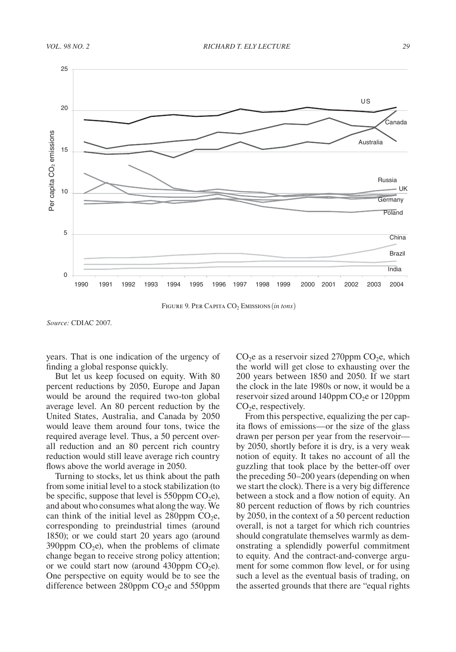

FIGURE 9. PER CAPITA CO<sub>2</sub> EMISSIONS (*in tons*)

*Source:* CDIAC 2007.

years. That is one indication of the urgency of finding a global response quickly.

But let us keep focused on equity. With 80 percent reductions by 2050, Europe and Japan would be around the required two-ton global average level. An 80 percent reduction by the United States, Australia, and Canada by 2050 would leave them around four tons, twice the required average level. Thus, a 50 percent overall reduction and an 80 percent rich country reduction would still leave average rich country flows above the world average in 2050.

Turning to stocks, let us think about the path from some initial level to a stock stabilization (to be specific, suppose that level is  $550$ ppm  $CO<sub>2</sub>e$ ), and about who consumes what along the way. We can think of the initial level as  $280$ ppm CO<sub>2</sub>e, corresponding to preindustrial times (around 1850); or we could start 20 years ago (around 390ppm  $CO<sub>2</sub>e$ ), when the problems of climate change began to receive strong policy attention; or we could start now (around 430ppm  $CO<sub>2</sub>e$ ). One perspective on equity would be to see the difference between 280ppm  $CO<sub>2</sub>e$  and 550ppm

 $CO<sub>2</sub>e$  as a reservoir sized 270ppm  $CO<sub>2</sub>e$ , which the world will get close to exhausting over the 200 years between 1850 and 2050. If we start the clock in the late 1980s or now, it would be a reservoir sized around 140ppm CO<sub>2</sub>e or 120ppm  $CO<sub>2</sub>e$ , respectively.

From this perspective, equalizing the per capita flows of emissions—or the size of the glass drawn per person per year from the reservoir by 2050, shortly before it is dry, is a very weak notion of equity. It takes no account of all the guzzling that took place by the better-off over the preceding 50–200 years (depending on when we start the clock). There is a very big difference between a stock and a flow notion of equity. An 80 percent reduction of flows by rich countries by 2050, in the context of a 50 percent reduction overall, is not a target for which rich countries should congratulate themselves warmly as demonstrating a splendidly powerful commitment to equity. And the contract-and-converge argument for some common flow level, or for using such a level as the eventual basis of trading, on the asserted grounds that there are "equal rights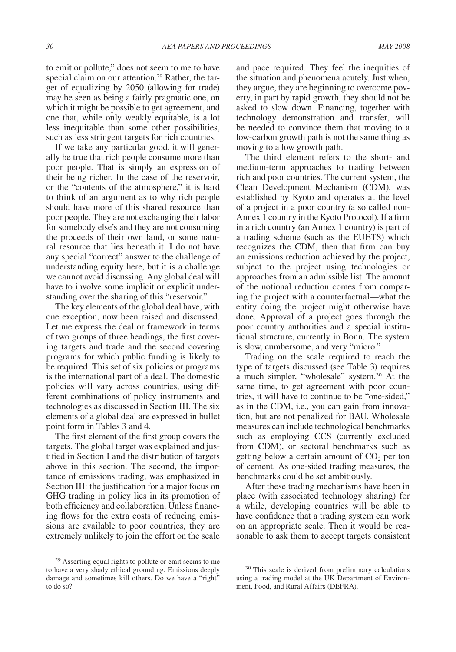to emit or pollute," does not seem to me to have special claim on our attention.29 Rather, the target of equalizing by 2050 (allowing for trade) may be seen as being a fairly pragmatic one, on which it might be possible to get agreement, and one that, while only weakly equitable, is a lot less inequitable than some other possibilities, such as less stringent targets for rich countries.

If we take any particular good, it will generally be true that rich people consume more than poor people. That is simply an expression of their being richer. In the case of the reservoir, or the "contents of the atmosphere," it is hard to think of an argument as to why rich people should have more of this shared resource than poor people. They are not exchanging their labor for somebody else's and they are not consuming the proceeds of their own land, or some natural resource that lies beneath it. I do not have any special "correct" answer to the challenge of understanding equity here, but it is a challenge we cannot avoid discussing. Any global deal will have to involve some implicit or explicit understanding over the sharing of this "reservoir."

The key elements of the global deal have, with one exception, now been raised and discussed. Let me express the deal or framework in terms of two groups of three headings, the first covering targets and trade and the second covering programs for which public funding is likely to be required. This set of six policies or programs is the international part of a deal. The domestic policies will vary across countries, using different combinations of policy instruments and technologies as discussed in Section III. The six elements of a global deal are expressed in bullet point form in Tables 3 and 4.

The first element of the first group covers the targets. The global target was explained and justified in Section I and the distribution of targets above in this section. The second, the importance of emissions trading, was emphasized in Section III: the justification for a major focus on GHG trading in policy lies in its promotion of both efficiency and collaboration. Unless financing flows for the extra costs of reducing emissions are available to poor countries, they are extremely unlikely to join the effort on the scale

and pace required. They feel the inequities of the situation and phenomena acutely. Just when, they argue, they are beginning to overcome poverty, in part by rapid growth, they should not be asked to slow down. Financing, together with technology demonstration and transfer, will be needed to convince them that moving to a low-carbon growth path is not the same thing as moving to a low growth path.

The third element refers to the short- and medium-term approaches to trading between rich and poor countries. The current system, the Clean Development Mechanism (CDM), was established by Kyoto and operates at the level of a project in a poor country (a so called non-Annex 1 country in the Kyoto Protocol). If a firm in a rich country (an Annex 1 country) is part of a trading scheme (such as the EUETS) which recognizes the CDM, then that firm can buy an emissions reduction achieved by the project, subject to the project using technologies or approaches from an admissible list. The amount of the notional reduction comes from comparing the project with a counterfactual—what the entity doing the project might otherwise have done. Approval of a project goes through the poor country authorities and a special institutional structure, currently in Bonn. The system is slow, cumbersome, and very "micro."

Trading on the scale required to reach the type of targets discussed (see Table 3) requires a much simpler, "wholesale" system.30 At the same time, to get agreement with poor countries, it will have to continue to be "one-sided," as in the CDM, i.e., you can gain from innovation, but are not penalized for BAU. Wholesale measures can include technological benchmarks such as employing CCS (currently excluded from CDM), or sectoral benchmarks such as getting below a certain amount of  $CO<sub>2</sub>$  per ton of cement. As one-sided trading measures, the benchmarks could be set ambitiously.

After these trading mechanisms have been in place (with associated technology sharing) for a while, developing countries will be able to have confidence that a trading system can work on an appropriate scale. Then it would be reasonable to ask them to accept targets consistent

<sup>&</sup>lt;sup>29</sup> Asserting equal rights to pollute or emit seems to me to have a very shady ethical grounding. Emissions deeply damage and sometimes kill others. Do we have a "right" to do so?

<sup>&</sup>lt;sup>30</sup> This scale is derived from preliminary calculations using a trading model at the UK Department of Environment, Food, and Rural Affairs (DEFRA).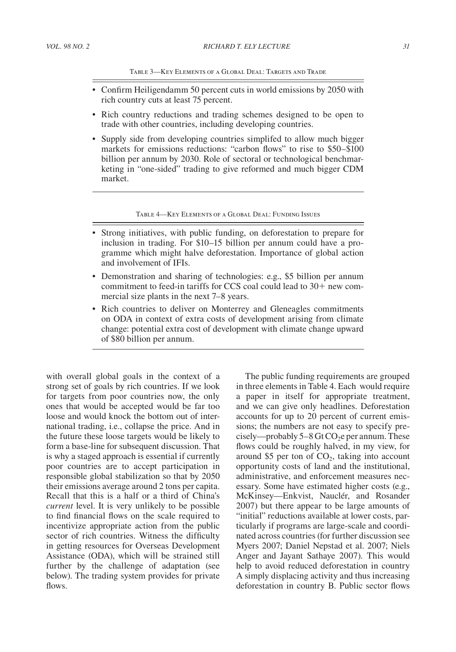- Confirm Heiligendamm 50 percent cuts in world emissions by 2050 with rich country cuts at least 75 percent.
- Rich country reductions and trading schemes designed to be open to trade with other countries, including developing countries.
- Supply side from developing countries simplifed to allow much bigger markets for emissions reductions: "carbon flows" to rise to \$50–\$100 billion per annum by 2030. Role of sectoral or technological benchmarketing in "one-sided" trading to give reformed and much bigger CDM market.

Table 4—Key Elements of a Global Deal: Funding Issues

- Strong initiatives, with public funding, on deforestation to prepare for inclusion in trading. For \$10–15 billion per annum could have a programme which might halve deforestation. Importance of global action and involvement of IFIs.
- Demonstration and sharing of technologies: e.g., \$5 billion per annum commitment to feed-in tariffs for CCS coal could lead to  $30+$  new commercial size plants in the next 7–8 years.
- Rich countries to deliver on Monterrey and Gleneagles commitments on ODA in context of extra costs of development arising from climate change: potential extra cost of development with climate change upward of \$80 billion per annum.

with overall global goals in the context of a strong set of goals by rich countries. If we look for targets from poor countries now, the only ones that would be accepted would be far too loose and would knock the bottom out of international trading, i.e., collapse the price. And in the future these loose targets would be likely to form a base-line for subsequent discussion. That is why a staged approach is essential if currently poor countries are to accept participation in responsible global stabilization so that by 2050 their emissions average around 2 tons per capita. Recall that this is a half or a third of China's *current* level. It is very unlikely to be possible to find financial flows on the scale required to incentivize appropriate action from the public sector of rich countries. Witness the difficulty in getting resources for Overseas Development Assistance (ODA), which will be strained still further by the challenge of adaptation (see below). The trading system provides for private flows.

The public funding requirements are grouped in three elements in Table 4. Each would require a paper in itself for appropriate treatment, and we can give only headlines. Deforestation accounts for up to 20 percent of current emissions; the numbers are not easy to specify precisely—probably 5–8 Gt CO<sub>2</sub>e per annum. These flows could be roughly halved, in my view, for around \$5 per ton of  $CO<sub>2</sub>$ , taking into account opportunity costs of land and the institutional, administrative, and enforcement measures necessary. Some have estimated higher costs (e.g., McKinsey—Enkvist, Nauclér, and Rosander 2007) but there appear to be large amounts of "initial" reductions available at lower costs, particularly if programs are large-scale and coordinated across countries (for further discussion see Myers 2007; Daniel Nepstad et al. 2007; Niels Anger and Jayant Sathaye 2007). This would help to avoid reduced deforestation in country A simply displacing activity and thus increasing deforestation in country B. Public sector flows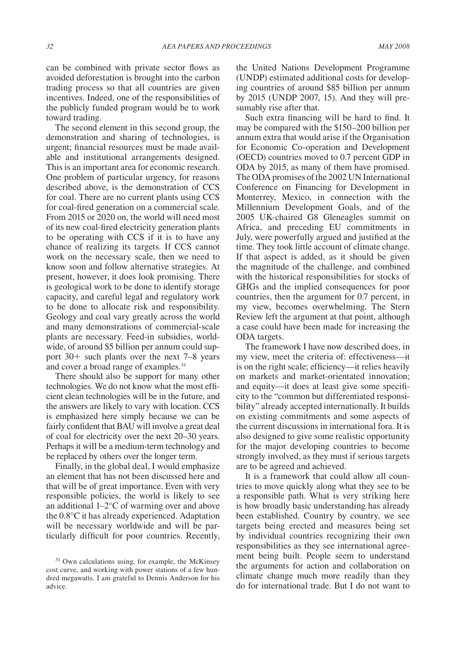can be combined with private sector flows as avoided deforestation is brought into the carbon trading process so that all countries are given incentives. Indeed, one of the responsibilities of the publicly funded program would be to work toward trading.

The second element in this second group, the demonstration and sharing of technologies, is urgent; financial resources must be made available and institutional arrangements designed. This is an important area for economic research. One problem of particular urgency, for reasons described above, is the demonstration of CCS for coal. There are no current plants using CCS for coal-fired generation on a commercial scale. From 2015 or 2020 on, the world will need most of its new coal-fired electricity generation plants to be operating with CCS if it is to have any chance of realizing its targets. If CCS cannot work on the necessary scale, then we need to know soon and follow alternative strategies. At present, however, it does look promising. There is geological work to be done to identify storage capacity, and careful legal and regulatory work to be done to allocate risk and responsibility. Geology and coal vary greatly across the world and many demonstrations of commercial-scale plants are necessary. Feed-in subsidies, worldwide, of around \$5 billion per annum could support  $30+$  such plants over the next  $7-8$  years and cover a broad range of examples.<sup>31</sup>

There should also be support for many other technologies. We do not know what the most efficient clean technologies will be in the future, and the answers are likely to vary with location. CCS is emphasized here simply because we can be fairly confident that BAU will involve a great deal of coal for electricity over the next 20–30 years. Perhaps it will be a medium-term technology and be replaced by others over the longer term.

Finally, in the global deal, I would emphasize an element that has not been discussed here and that will be of great importance. Even with very responsible policies, the world is likely to see an additional 1–2°C of warming over and above the 0.8°C it has already experienced. Adaptation will be necessary worldwide and will be particularly difficult for poor countries. Recently,

the United Nations Development Programme (UNDP) estimated additional costs for developing countries of around \$85 billion per annum by 2015 (UNDP 2007, 15). And they will presumably rise after that.

Such extra financing will be hard to find. It may be compared with the \$150–200 billion per annum extra that would arise if the Organisation for Economic Co-operation and Development (OECD) countries moved to 0.7 percent GDP in ODA by 2015, as many of them have promised. The ODA promises of the 2002 UN International Conference on Financing for Development in Monterrey, Mexico, in connection with the Millennium Development Goals, and of the 2005 UK-chaired G8 Gleneagles summit on Africa, and preceding EU commitments in July, were powerfully argued and justified at the time. They took little account of climate change. If that aspect is added, as it should be given the magnitude of the challenge, and combined with the historical responsibilities for stocks of GHGs and the implied consequences for poor countries, then the argument for 0.7 percent, in my view, becomes overwhelming. The Stern Review left the argument at that point, although a case could have been made for increasing the ODA targets.

The framework I have now described does, in my view, meet the criteria of: effectiveness—it is on the right scale; efficiency—it relies heavily on markets and market-orientated innovation; and equity—it does at least give some specificity to the "common but differentiated responsibility" already accepted internationally. It builds on existing commitments and some aspects of the current discussions in international fora. It is also designed to give some realistic opportunity for the major developing countries to become strongly involved, as they must if serious targets are to be agreed and achieved.

It is a framework that could allow all countries to move quickly along what they see to be a responsible path. What is very striking here is how broadly basic understanding has already been established. Country by country, we see targets being erected and measures being set by individual countries recognizing their own responsibilities as they see international agreement being built. People seem to understand the arguments for action and collaboration on climate change much more readily than they do for international trade. But I do not want to

<sup>&</sup>lt;sup>31</sup> Own calculations using, for example, the McKinsey cost curve, and working with power stations of a few hundred megawatts. I am grateful to Dennis Anderson for his advice.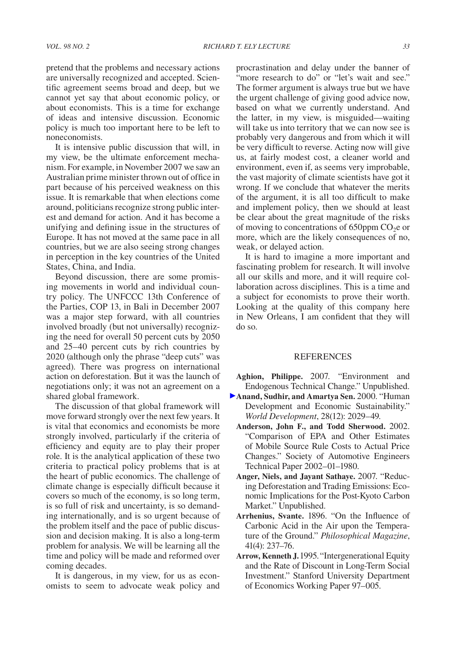pretend that the problems and necessary actions are universally recognized and accepted. Scientific agreement seems broad and deep, but we cannot yet say that about economic policy, or about economists. This is a time for exchange of ideas and intensive discussion. Economic policy is much too important here to be left to noneconomists.

It is intensive public discussion that will, in my view, be the ultimate enforcement mechanism. For example, in November 2007 we saw an Australian prime minister thrown out of office in part because of his perceived weakness on this issue. It is remarkable that when elections come around, politicians recognize strong public interest and demand for action. And it has become a unifying and defining issue in the structures of Europe. It has not moved at the same pace in all countries, but we are also seeing strong changes in perception in the key countries of the United States, China, and India.

Beyond discussion, there are some promising movements in world and individual country policy. The UNFCCC 13th Conference of the Parties, COP 13, in Bali in December 2007 was a major step forward, with all countries involved broadly (but not universally) recognizing the need for overall 50 percent cuts by 2050 and 25–40 percent cuts by rich countries by 2020 (although only the phrase "deep cuts" was agreed). There was progress on international action on deforestation. But it was the launch of negotiations only; it was not an agreement on a shared global framework.

The discussion of that global framework will move forward strongly over the next few years. It is vital that economics and economists be more strongly involved, particularly if the criteria of efficiency and equity are to play their proper role. It is the analytical application of these two criteria to practical policy problems that is at the heart of public economics. The challenge of climate change is especially difficult because it covers so much of the economy, is so long term, is so full of risk and uncertainty, is so demanding internationally, and is so urgent because of the problem itself and the pace of public discussion and decision making. It is also a long-term problem for analysis. We will be learning all the time and policy will be made and reformed over coming decades.

It is dangerous, in my view, for us as economists to seem to advocate weak policy and

procrastination and delay under the banner of "more research to do" or "let's wait and see." The former argument is always true but we have the urgent challenge of giving good advice now, based on what we currently understand. And the latter, in my view, is misguided—waiting will take us into territory that we can now see is probably very dangerous and from which it will be very difficult to reverse. Acting now will give us, at fairly modest cost, a cleaner world and environment, even if, as seems very improbable, the vast majority of climate scientists have got it wrong. If we conclude that whatever the merits of the argument, it is all too difficult to make and implement policy, then we should at least be clear about the great magnitude of the risks of moving to concentrations of  $650$ ppm CO<sub>2</sub>e or more, which are the likely consequences of no, weak, or delayed action.

It is hard to imagine a more important and fascinating problem for research. It will involve all our skills and more, and it will require collaboration across disciplines. This is a time and a subject for economists to prove their worth. Looking at the quality of this company here in New Orleans, I am confident that they will do so.

## **REFERENCES**

- **Aghion, Philippe.** 2007. "Environment and Endogenous Technical Change." Unpublished.
- **Anand, Sudhir, and Amartya Sen.** 2000. "Human Development and Economic Sustainability." *World Development*, 28(12): 2029–49.
	- **Anderson, John F., and Todd Sherwood.** 2002. "Comparison of EPA and Other Estimates of Mobile Source Rule Costs to Actual Price Changes." Society of Automotive Engineers Technical Paper 2002–01–1980.
	- **Anger, Niels, and Jayant Sathaye.** 2007. "Reducing Deforestation and Trading Emissions: Economic Implications for the Post-Kyoto Carbon Market." Unpublished.
	- **Arrhenius, Svante.** 1896. "On the Influence of Carbonic Acid in the Air upon the Temperature of the Ground." *Philosophical Magazine*, 41(4): 237–76.
	- **Arrow,  Kenneth J.**1995. "Intergenerational Equity and the Rate of Discount in Long-Term Social Investment." Stanford University Department of Economics Working Paper 97–005.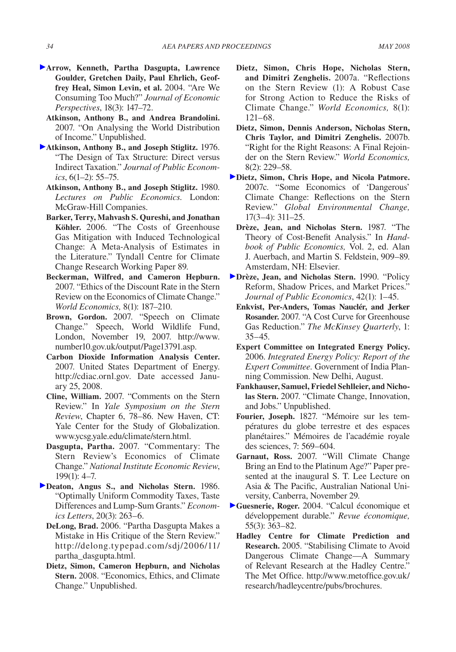- **Arrow, Kenneth, Partha Dasgupta, Lawrence Goulder, Gretchen Daily, Paul Ehrlich, Geoffrey Heal, Simon Levin, et al.** 2004. "Are We Consuming Too Much?" *Journal of Economic Perspectives*, 18(3): 147–72.
	- **Atkinson, Anthony B., and Andrea Brandolini.** 2007. "On Analysing the World Distribution of Income." Unpublished.
- **Atkinson, Anthony B., and Joseph Stiglitz.** 1976. "The Design of Tax Structure: Direct versus Indirect Taxation." *Journal of Public Economics*, 6(1–2): 55–75.
	- **Atkinson, Anthony B., and Joseph Stiglitz.** 1980. *Lectures on Public Economics.* London: McGraw-Hill Companies.
	- **Barker, Terry, Mahvash S. Qureshi, and Jonathan Köhler.** 2006. "The Costs of Greenhouse Gas Mitigation with Induced Technological Change: A Meta-Analysis of Estimates in the Literature." Tyndall Centre for Climate Change Research Working Paper 89.
	- **Beckerman, Wilfred, and Cameron Hepburn.** 2007. "Ethics of the Discount Rate in the Stern Review on the Economics of Climate Change." *World Economics,* 8(1): 187–210.
	- **Brown, Gordon.** 2007. "Speech on Climate Change." Speech, World Wildlife Fund, London, November 19, 2007. http://www. number10.gov.uk/output/Page13791.asp.
	- **Carbon Dioxide Information Analysis Center.** 2007. United States Department of Energy. http://cdiac.ornl.gov. Date accessed January 25, 2008.
	- **Cline, William.** 2007. "Comments on the Stern Review." In *Yale Symposium on the Stern Review*, Chapter 6, 78–86. New Haven, CT: Yale Center for the Study of Globalization. www.ycsg.yale.edu/climate/stern.html.
	- **Dasgupta, Partha.** 2007. "Commentary: The Stern Review's Economics of Climate Change." *National Institute Economic Review*, 199(1): 4–7.
- **Deaton, Angus S., and Nicholas Stern.** 1986. "Optimally Uniform Commodity Taxes, Taste Differences and Lump-Sum Grants." *Economics Letters*, 20(3): 263–6.
	- **DeLong, Brad.** 2006. "Partha Dasgupta Makes a Mistake in His Critique of the Stern Review." http://delong.typepad.com/sdj/2006/11/partha\_dasgupta.html.
	- **Dietz, Simon, Cameron Hepburn, and Nicholas Stern.** 2008. "Economics, Ethics, and Climate Change." Unpublished.
- **Dietz, Simon, Chris Hope, Nicholas Stern, and Dimitri Zenghelis.** 2007a. "Reflections on the Stern Review (1): A Robust Case for Strong Action to Reduce the Risks of Climate Change." *World Economics,* 8(1): 121–68.
- **Dietz, Simon, Dennis Anderson, Nicholas Stern, Chris Taylor, and Dimitri Zenghelis.** 2007b. "Right for the Right Reasons: A Final Rejoinder on the Stern Review." *World Economics,*  8(2): 229–58.
- **Dietz, Simon, Chris Hope, and Nicola Patmore.** 2007c. "Some Economics of 'Dangerous' Climate Change: Reflections on the Stern Review." *Global Environmental Change,* 17(3–4): 311–25.
	- **Drèze, Jean, and Nicholas Stern.** 1987. "The Theory of Cost-Benefit Analysis." In *Handbook of Public Economics,* Vol. 2, ed. Alan J. Auerbach, and Martin S. Feldstein, 909–89. Amsterdam, NH: Elsevier.
- **Drèze, Jean, and Nicholas Stern.** 1990. "Policy Reform, Shadow Prices, and Market Prices." *Journal of Public Economics*, 42(1): 1–45.
	- **Enkvist, Per-Anders, Tomas Nauclér, and Jerker Rosander.** 2007. "A Cost Curve for Greenhouse Gas Reduction." *The McKinsey Quarterly*, 1: 35–45.
	- **Expert Committee on Integrated Energy Policy.** 2006. *Integrated Energy Policy: Report of the Expert Committee.* Government of India Planning Commission. New Delhi, August.
	- **Fankhauser, Samuel, Friedel Sehlleier, and Nicholas Stern.** 2007. "Climate Change, Innovation, and Jobs." Unpublished.
	- **Fourier, Joseph.** 1827. "Mémoire sur les températures du globe terrestre et des espaces planétaires." Mémoires de l'académie royale des sciences, 7: 569–604.
	- **Garnaut, Ross.** 2007. "Will Climate Change Bring an End to the Platinum Age?" Paper presented at the inaugural S. T. Lee Lecture on Asia & The Pacific, Australian National University, Canberra, November 29.
- **Guesnerie, Roger.** 2004. "Calcul économique et développement durable." *Revue économique,* 55(3): 363–82.
	- **Hadley Centre for Climate Prediction and Research.** 2005. "Stabilising Climate to Avoid Dangerous Climate Change—A Summary of Relevant Research at the Hadley Centre." The Met Office. http://www.metoffice.gov.uk/ research/hadleycentre/pubs/brochures.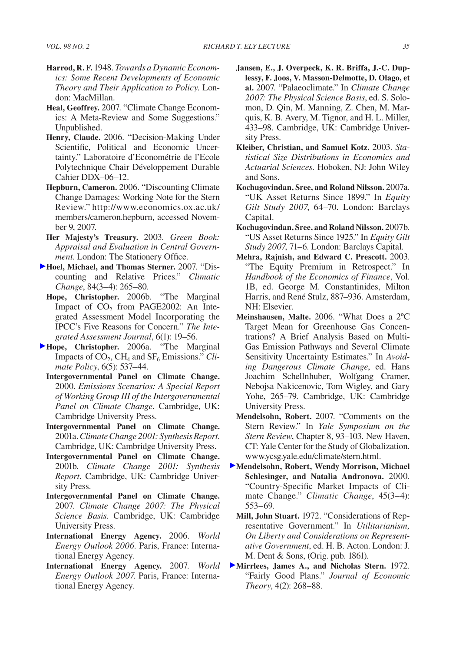- **Harrod, R. F.** 1948. *Towards a Dynamic Economics: Some Recent Developments of Economic Theory and Their Application to Policy.* London: MacMillan.
- **Heal, Geoffrey.** 2007. "Climate Change Economics: A Meta-Review and Some Suggestions." Unpublished.
- **Henry, Claude.** 2006. "Decision-Making Under Scientific, Political and Economic Uncertainty." Laboratoire d'Econométrie de l'Ecole Polytechnique Chair Développement Durable Cahier DDX–06–12.
- **Hepburn, Cameron.** 2006. "Discounting Climate Change Damages: Working Note for the Stern Review." http://www.economics.ox.ac.uk/ members/cameron.hepburn, accessed November 9, 2007.
- **Her Majesty's Treasury.** 2003. *Green Book: Appraisal and Evaluation in Central Government*. London: The Stationery Office.
- **Hoel, Michael, and Thomas Sterner.** 2007. "Discounting and Relative Prices." *Climatic Change*, 84(3–4): 265–80.
	- **Hope, Christopher.** 2006b. "The Marginal Impact of  $CO<sub>2</sub>$  from PAGE2002: An Integrated Assessment Model Incorporating the IPCC's Five Reasons for Concern." *The Integrated Assessment Journal*, 6(1): 19–56.
- **Hope, Christopher.** 2006a. "The Marginal Impacts of CO<sub>2</sub>, CH<sub>4</sub> and SF<sub>6</sub> Emissions." *Climate Policy*, 6(5): 537–44.
	- **Intergovernmental Panel on Climate Change.** 2000. *Emissions Scenarios: A Special Report of Working Group III of the Intergovernmental Panel on Climate Change.* Cambridge, UK: Cambridge University Press.
	- **Intergovernmental Panel on Climate Change.** 2001a. *Climate Change 2001: Synthesis Report*. Cambridge, UK: Cambridge University Press.
	- **Intergovernmental Panel on Climate Change.** 2001b. *Climate Change 2001: Synthesis Report*. Cambridge, UK: Cambridge University Press.
	- **Intergovernmental Panel on Climate Change.** 2007. *Climate Change 2007: The Physical Science Basis*. Cambridge, UK: Cambridge University Press.
	- **International Energy Agency.** 2006. *World Energy Outlook 2006*. Paris, France: International Energy Agency.
	- **International Energy Agency.** 2007. *World Energy Outlook 2007*. Paris, France: International Energy Agency.
- **Jansen, E., J. Overpeck, K. R. Briffa, J.-C. Duplessy, F. Joos, V. Masson-Delmotte, D. Olago, et al.** 2007. "Palaeoclimate." In *Climate Change 2007: The Physical Science Basis*, ed. S. Solomon, D. Qin, M. Manning, Z. Chen, M. Marquis, K. B. Avery, M. Tignor, and H. L. Miller, 433–98. Cambridge, UK: Cambridge University Press.
- **Kleiber, Christian, and Samuel Kotz.** 2003. *Statistical Size Distributions in Economics and Actuarial Sciences.* Hoboken, NJ: John Wiley and Sons.
- **Kochugovindan, Sree, and Roland Nilsson.** 2007a. "UK Asset Returns Since 1899." In *Equity Gilt Study 2007*, 64–70. London: Barclays Capital.
- **Kochugovindan, Sree, and Roland Nilsson.** 2007b. "US Asset Returns Since 1925." In *Equity Gilt Study 2007*, 71–6. London: Barclays Capital.
- **Mehra, Rajnish, and Edward C. Prescott.** 2003. "The Equity Premium in Retrospect." In *Handbook of the Economics of Finance*, Vol. 1B, ed. George M. Constantinides, Milton Harris, and René Stulz, 887–936. Amsterdam, NH: Elsevier.
- **Meinshausen, Malte.** 2006. "What Does a 2ºC Target Mean for Greenhouse Gas Concentrations? A Brief Analysis Based on Multi-Gas Emission Pathways and Several Climate Sensitivity Uncertainty Estimates." In *Avoiding Dangerous Climate Change*, ed. Hans Joachim Schellnhuber, Wolfgang Cramer, Nebojsa Nakicenovic, Tom Wigley, and Gary Yohe, 265–79. Cambridge, UK: Cambridge University Press.
- **Mendelsohn, Robert.** 2007. "Comments on the Stern Review." In *Yale Symposium on the Stern Review*, Chapter 8, 93–103. New Haven, CT: Yale Center for the Study of Globalization. www.ycsg.yale.edu/climate/stern.html.
- **Mendelsohn, Robert, Wendy Morrison, Michael Schlesinger, and Natalia Andronova.** 2000. "Country-Specific Market Impacts of Climate Change." *Climatic Change*, 45(3–4): 553–69.
	- **Mill, John Stuart.** 1972. "Considerations of Representative Government." In *Utilitarianism, On Liberty and Considerations on Representative Government*, ed. H. B. Acton. London: J. M. Dent & Sons, (Orig. pub. 1861).
- **Mirrlees, James A., and Nicholas Stern.** 1972. "Fairly Good Plans." *Journal of Economic Theory*, 4(2): 268–88.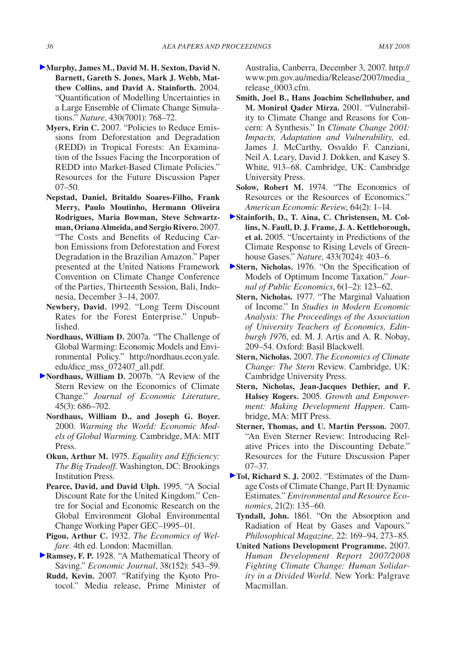- **Murphy, James M., David M. H. Sexton, David N. Barnett, Gareth S. Jones, Mark J. Webb, Matthew Collins, and David A. Stainforth.** 2004. "Quantification of Modelling Uncertainties in a Large Ensemble of Climate Change Simulations." *Nature*, 430(7001): 768–72.
	- **Myers, Erin C.** 2007. "Policies to Reduce Emissions from Deforestation and Degradation (REDD) in Tropical Forests: An Examination of the Issues Facing the Incorporation of REDD into Market-Based Climate Policies." Resources for the Future Discussion Paper 07–50.
	- **Nepstad, Daniel, Britaldo Soares-Filho, Frank Merry, Paulo Moutinho, Hermann Oliveira Rodrigues, Maria Bowman, Steve Schwartzman, Oriana Almeida, and Sergio Rivero.** 2007. "The Costs and Benefits of Reducing Carbon Emissions from Deforestation and Forest Degradation in the Brazilian Amazon." Paper presented at the United Nations Framework Convention on Climate Change Conference of the Parties, Thirteenth Session, Bali, Indonesia, December 3–14, 2007.
	- **Newbery, David.** 1992. "Long Term Discount Rates for the Forest Enterprise." Unpublished.
	- **Nordhaus, William D.** 2007a. "The Challenge of Global Warming: Economic Models and Environmental Policy." http://nordhaus.econ.yale. edu/dice\_mss\_072407\_all.pdf.
- **Nordhaus, William D.** 2007b. "A Review of the Stern Review on the Economics of Climate Change." *Journal of Economic Literature*, 45(3): 686–702.
	- **Nordhaus, William D., and Joseph G. Boyer.** 2000. *Warming the World: Economic Models of Global Warming*. Cambridge, MA: MIT Press.
	- **Okun, Arthur M.** 1975. *Equality and Efficiency: The Big Tradeoff*. Washington, DC: Brookings Institution Press.
	- **Pearce, David, and David Ulph.** 1995. "A Social Discount Rate for the United Kingdom." Centre for Social and Economic Research on the Global Environment Global Environmental Change Working Paper GEC–1995–01.
	- **Pigou, Arthur C.** 1932. *The Economics of Welfare*. 4th ed. London: Macmillan.
- **Ramsey, F. P.** 1928. "A Mathematical Theory of Saving." *Economic Journal*, 38(152): 543–59.
	- **Rudd, Kevin.** 2007. "Ratifying the Kyoto Protocol." Media release, Prime Minister of

Australia, Canberra, December 3, 2007. http:// www.pm.gov.au/media/Release/2007/media\_ release\_0003.cfm.

- **Smith, Joel B., Hans Joachim Schellnhuber, and M. Monirul Qader Mirza.** 2001. "Vulnerability to Climate Change and Reasons for Concern: A Synthesis." In *Climate Change 2001: Impacts, Adaptation and Vulnerability,* ed. James J. McCarthy, Osvaldo F. Canziani, Neil A. Leary, David J. Dokken, and Kasey S. White, 913–68. Cambridge, UK: Cambridge University Press.
- **Solow, Robert M.** 1974. "The Economics of Resources or the Resources of Economics." *American Economic Review*, 64(2): 1–14.
- **Stainforth, D., T. Aina, C. Christensen, M. Collins, N. Faull, D. J. Frame, J. A. Kettleborough, et al.** 2005. "Uncertainty in Predictions of the Climate Response to Rising Levels of Greenhouse Gases." *Nature,* 433(7024): 403–6.
- **Stern, Nicholas.** 1976. "On the Specification of Models of Optimum Income Taxation." *Journal of Public Economics*, 6(1–2): 123–62.
	- **Stern, Nicholas.** 1977. "The Marginal Valuation of Income." In *Studies in Modern Economic Analysis: The Proceedings of the Association of University Teachers of Economics, Edinburgh 1976*, ed. M. J. Artis and A. R. Nobay, 209–54. Oxford: Basil Blackwell.
	- **Stern, Nicholas.** 2007. *The Economics of Climate Change: The Stern* Review. Cambridge, UK: Cambridge University Press.
	- **Stern, Nicholas, Jean-Jacques Dethier, and F. Halsey Rogers.** 2005. *Growth and Empowerment: Making Development Happen*. Cambridge, MA: MIT Press.
	- **Sterner, Thomas, and U. Martin Persson.** 2007. "An Even Sterner Review: Introducing Relative Prices into the Discounting Debate." Resources for the Future Discussion Paper 07–37.
- **Tol, Richard S. J.** 2002. "Estimates of the Damage Costs of Climate Change, Part II: Dynamic Estimates." *Environmental and Resource Economics*, 21(2): 135–60.
	- **Tyndall, John.** 1861. "On the Absorption and Radiation of Heat by Gases and Vapours." *Philosophical Magazine,* 22: 169–94, 273–85.
	- **United Nations Development Programme.** 2007. *Human Development Report 2007/2008 Fighting Climate Change: Human Solidarity in a Divided World.* New York: Palgrave Macmillan.